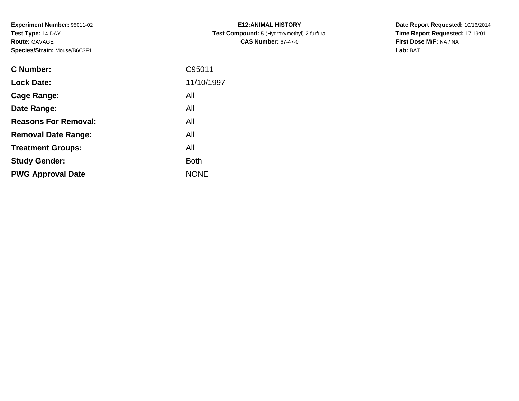**Experiment Number:** 95011-02**Test Type:** 14-DAY**Route:** GAVAGE**Species/Strain:** Mouse/B6C3F1

| <b>C Number:</b>            | C95011      |
|-----------------------------|-------------|
| <b>Lock Date:</b>           | 11/10/1997  |
| <b>Cage Range:</b>          | All         |
| Date Range:                 | All         |
| <b>Reasons For Removal:</b> | All         |
| <b>Removal Date Range:</b>  | All         |
| <b>Treatment Groups:</b>    | All         |
| <b>Study Gender:</b>        | <b>Both</b> |
| <b>PWG Approval Date</b>    | <b>NONE</b> |
|                             |             |

**E12:ANIMAL HISTORY Test Compound:** 5-(Hydroxymethyl)-2-furfural **CAS Number:** 67-47-0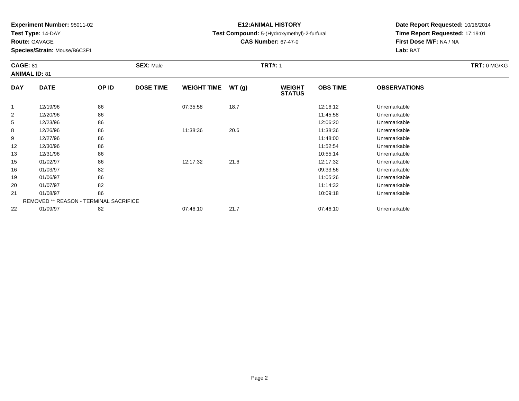**Test Type:** 14-DAY

**Route:** GAVAGE

**Species/Strain:** Mouse/B6C3F1

# **E12:ANIMAL HISTORY**

**Test Compound:** 5-(Hydroxymethyl)-2-furfural

**CAS Number:** 67-47-0

**Date Report Requested:** 10/16/2014 **Time Report Requested:** 17:19:01**First Dose M/F:** NA / NA**Lab:** BAT

#### **CAGE:** 81 **SEX:** Male **TRT#:** <sup>1</sup> **TRT:** 0 MG/KG**ANIMAL ID:** 81**DAY DATE OP IDDOSE TIME WEIGHT TIME WT** (g) **STATUSOBS TIME OBSERVATIONS** 1

| 86<br>12/20/96<br>2<br>11:45:58<br>Unremarkable                      |  |
|----------------------------------------------------------------------|--|
|                                                                      |  |
| 86<br>5<br>12/23/96<br>12:06:20<br>Unremarkable                      |  |
| 86<br>8<br>12/26/96<br>11:38:36<br>20.6<br>11:38:36<br>Unremarkable  |  |
| 86<br>12/27/96<br>11:48:00<br>9<br>Unremarkable                      |  |
| 86<br>$12 \overline{ }$<br>12/30/96<br>11:52:54<br>Unremarkable      |  |
| 86<br>13<br>12/31/96<br>Unremarkable<br>10:55:14                     |  |
| 86<br>01/02/97<br>12:17:32<br>21.6<br>12:17:32<br>15<br>Unremarkable |  |
| 82<br>16<br>01/03/97<br>09:33:56<br>Unremarkable                     |  |
| 86<br>19<br>01/06/97<br>11:05:26<br>Unremarkable                     |  |
| 82<br>20<br>01/07/97<br>11:14:32<br>Unremarkable                     |  |
| 86<br>21<br>Unremarkable<br>01/08/97<br>10:09:18                     |  |
| <b>REMOVED ** REASON - TERMINAL SACRIFICE</b>                        |  |
| 22<br>01/09/97<br>82<br>21.7<br>07:46:10<br>07:46:10<br>Unremarkable |  |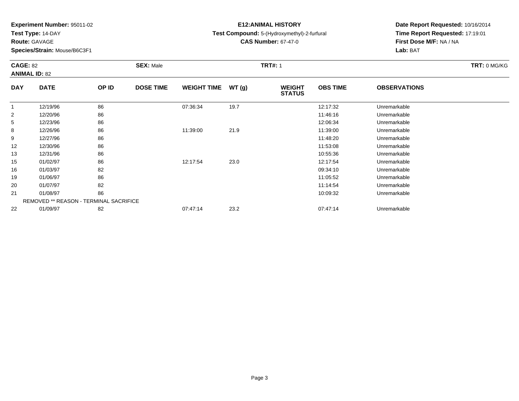**Test Type:** 14-DAY

**Route:** GAVAGE

20

21

22

**Species/Strain:** Mouse/B6C3F1

REMOVED \*\* REASON - TERMINAL SACRIFICE

# **E12:ANIMAL HISTORY**

**Test Compound:** 5-(Hydroxymethyl)-2-furfural

**CAS Number:** 67-47-0

**Date Report Requested:** 10/16/2014**Time Report Requested:** 17:19:01**First Dose M/F:** NA / NA**Lab:** BAT

| <b>CAGE: 82</b><br><b>ANIMAL ID: 82</b> |             |       | <b>SEX: Male</b> |                    |       | <b>TRT#: 1</b>                 |                 | TRT: 0 MG/KG        |  |
|-----------------------------------------|-------------|-------|------------------|--------------------|-------|--------------------------------|-----------------|---------------------|--|
| <b>DAY</b>                              | <b>DATE</b> | OP ID | <b>DOSE TIME</b> | <b>WEIGHT TIME</b> | WT(g) | <b>WEIGHT</b><br><b>STATUS</b> | <b>OBS TIME</b> | <b>OBSERVATIONS</b> |  |
|                                         | 12/19/96    | 86    |                  | 07:36:34           | 19.7  |                                | 12:17:32        | Unremarkable        |  |
| $\overline{2}$                          | 12/20/96    | 86    |                  |                    |       |                                | 11:46:16        | Unremarkable        |  |
| 5                                       | 12/23/96    | 86    |                  |                    |       |                                | 12:06:34        | Unremarkable        |  |
| 8                                       | 12/26/96    | 86    |                  | 11:39:00           | 21.9  |                                | 11:39:00        | Unremarkable        |  |
| 9                                       | 12/27/96    | 86    |                  |                    |       |                                | 11:48:20        | Unremarkable        |  |
| 12                                      | 12/30/96    | 86    |                  |                    |       |                                | 11:53:08        | Unremarkable        |  |
| 13                                      | 12/31/96    | 86    |                  |                    |       |                                | 10:55:36        | Unremarkable        |  |
| 15                                      | 01/02/97    | 86    |                  | 12:17:54           | 23.0  |                                | 12:17:54        | Unremarkable        |  |
| 16                                      | 01/03/97    | 82    |                  |                    |       |                                | 09:34:10        | Unremarkable        |  |
| 19                                      | 01/06/97    | 86    |                  |                    |       |                                | 11:05:52        | Unremarkable        |  |

01/07/97 <sup>82</sup> 11:14:54 Unremarkable

1 01/08/97 86 10:09:32 10:09:32 Unremarkable

01/09/97 <sup>82</sup> 07:47:14 23.2 07:47:14 Unremarkable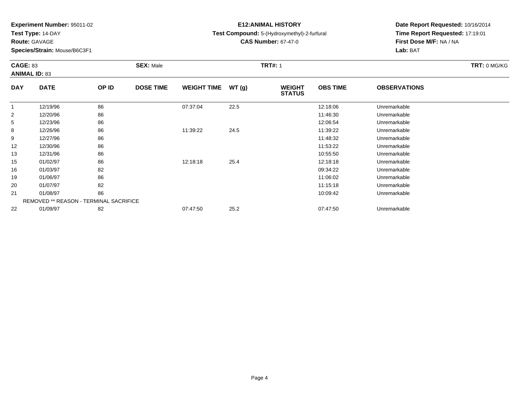**Test Type:** 14-DAY

**Route:** GAVAGE

**Species/Strain:** Mouse/B6C3F1

# **E12:ANIMAL HISTORY**

**Test Compound:** 5-(Hydroxymethyl)-2-furfural

**CAS Number:** 67-47-0

**Date Report Requested:** 10/16/2014**Time Report Requested:** 17:19:01**First Dose M/F:** NA / NA**Lab:** BAT

#### **CAGE:** 83 **SEX:** Male **TRT#:** <sup>1</sup> **TRT:** 0 MG/KG**ANIMAL ID:** 83**DAY DATE OP IDDOSE TIME WEIGHT TIME WT** (g) **STATUSOBS TIME OBSERVATIONS** 1 12/19/96 <sup>86</sup> 07:37:04 22.5 12:18:06 Unremarkable 22 12/20/96 86 86 15 and 11:46:30 Unremarkable 5

| <sub>5</sub>      | 12/23/96 | 86                                     |          |      | 12:06:54 | Unremarkable |  |
|-------------------|----------|----------------------------------------|----------|------|----------|--------------|--|
| 8                 | 12/26/96 | 86                                     | 11:39:22 | 24.5 | 11:39:22 | Unremarkable |  |
| 9                 | 12/27/96 | 86                                     |          |      | 11:48:32 | Unremarkable |  |
| $12 \overline{ }$ | 12/30/96 | 86                                     |          |      | 11:53:22 | Unremarkable |  |
| 13                | 12/31/96 | 86                                     |          |      | 10:55:50 | Unremarkable |  |
| 15                | 01/02/97 | 86                                     | 12:18:18 | 25.4 | 12:18:18 | Unremarkable |  |
| 16                | 01/03/97 | 82                                     |          |      | 09:34:22 | Unremarkable |  |
| 19                | 01/06/97 | 86                                     |          |      | 11:06:02 | Unremarkable |  |
| 20                | 01/07/97 | 82                                     |          |      | 11:15:18 | Unremarkable |  |
| 21                | 01/08/97 | 86                                     |          |      | 10:09:42 | Unremarkable |  |
|                   |          | REMOVED ** REASON - TERMINAL SACRIFICE |          |      |          |              |  |
| 22                | 01/09/97 | 82                                     | 07:47:50 | 25.2 | 07:47:50 | Unremarkable |  |
|                   |          |                                        |          |      |          |              |  |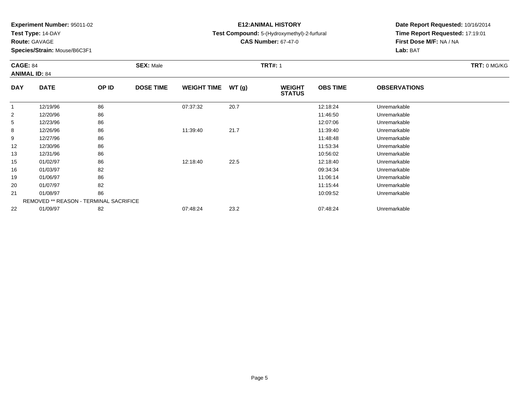**Test Type:** 14-DAY

**Route:** GAVAGE

16

19

20

21

22

**Species/Strain:** Mouse/B6C3F1

REMOVED \*\* REASON - TERMINAL SACRIFICE

# **E12:ANIMAL HISTORY**

**Test Compound:** 5-(Hydroxymethyl)-2-furfural

**CAS Number:** 67-47-0

**Date Report Requested:** 10/16/2014**Time Report Requested:** 17:19:01**First Dose M/F:** NA / NA**Lab:** BAT

| <b>CAGE: 84</b><br><b>ANIMAL ID: 84</b> |             |       | <b>SEX: Male</b> |                    |       | <b>TRT#: 1</b>                 |                 |                     | TRT: 0 MG/KG |
|-----------------------------------------|-------------|-------|------------------|--------------------|-------|--------------------------------|-----------------|---------------------|--------------|
| <b>DAY</b>                              | <b>DATE</b> | OP ID | <b>DOSE TIME</b> | <b>WEIGHT TIME</b> | WT(g) | <b>WEIGHT</b><br><b>STATUS</b> | <b>OBS TIME</b> | <b>OBSERVATIONS</b> |              |
|                                         | 12/19/96    | 86    |                  | 07:37:32           | 20.7  |                                | 12:18:24        | Unremarkable        |              |
| 2                                       | 12/20/96    | 86    |                  |                    |       |                                | 11:46:50        | Unremarkable        |              |
| 5                                       | 12/23/96    | 86    |                  |                    |       |                                | 12:07:06        | Unremarkable        |              |
| 8                                       | 12/26/96    | 86    |                  | 11:39:40           | 21.7  |                                | 11:39:40        | Unremarkable        |              |
| 9                                       | 12/27/96    | 86    |                  |                    |       |                                | 11:48:48        | Unremarkable        |              |
| $12 \overline{ }$                       | 12/30/96    | 86    |                  |                    |       |                                | 11:53:34        | Unremarkable        |              |
| 13                                      | 12/31/96    | 86    |                  |                    |       |                                | 10:56:02        | Unremarkable        |              |
| 15                                      | 01/02/97    | 86    |                  | 12:18:40           | 22.5  |                                | 12:18:40        | Unremarkable        |              |

01/03/97 <sup>82</sup> 09:34:34 Unremarkable

01/06/97 <sup>86</sup> 11:06:14 Unremarkable

01/07/97 <sup>82</sup> 11:15:44 Unremarkable

1 01/08/97 86 10:09:52 10:09:52 Unremarkable

01/09/97 <sup>82</sup> 07:48:24 23.2 07:48:24 Unremarkable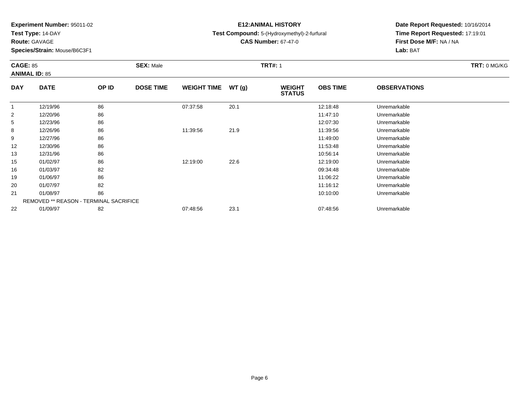**Test Type:** 14-DAY

**Route:** GAVAGE

**Species/Strain:** Mouse/B6C3F1

# **E12:ANIMAL HISTORY**

**Test Compound:** 5-(Hydroxymethyl)-2-furfural

**CAS Number:** 67-47-0

**Date Report Requested:** 10/16/2014 **Time Report Requested:** 17:19:01**First Dose M/F:** NA / NA**Lab:** BAT

#### **CAGE:** 85 **SEX:** Male **TRT#:** <sup>1</sup> **TRT:** 0 MG/KG**ANIMAL ID:** 85**DAY DATE OP IDDOSE TIME WEIGHT TIME WT** (g) **STATUSOBS TIME OBSERVATIONS** 11 12/19/96 86 86 07:37:58 20.1 12:18:48 Unremarkable 22 12/20/96 86 86 15 and 11:47:10 Unremarkable

|                   | 12/19/96 | 86                                            | 07:37:58 | 20.1 | 12:18:48 | Unremarkable |  |
|-------------------|----------|-----------------------------------------------|----------|------|----------|--------------|--|
| 2                 | 12/20/96 | 86                                            |          |      | 11:47:10 | Unremarkable |  |
| 5                 | 12/23/96 | 86                                            |          |      | 12:07:30 | Unremarkable |  |
| 8                 | 12/26/96 | 86                                            | 11:39:56 | 21.9 | 11:39:56 | Unremarkable |  |
| 9                 | 12/27/96 | 86                                            |          |      | 11:49:00 | Unremarkable |  |
| $12 \overline{ }$ | 12/30/96 | 86                                            |          |      | 11:53:48 | Unremarkable |  |
| 13                | 12/31/96 | 86                                            |          |      | 10:56:14 | Unremarkable |  |
| 15                | 01/02/97 | 86                                            | 12:19:00 | 22.6 | 12:19:00 | Unremarkable |  |
| 16                | 01/03/97 | 82                                            |          |      | 09:34:48 | Unremarkable |  |
| 19                | 01/06/97 | 86                                            |          |      | 11:06:22 | Unremarkable |  |
| 20                | 01/07/97 | 82                                            |          |      | 11:16:12 | Unremarkable |  |
| 21                | 01/08/97 | 86                                            |          |      | 10:10:00 | Unremarkable |  |
|                   |          | <b>REMOVED ** REASON - TERMINAL SACRIFICE</b> |          |      |          |              |  |
| 22                | 01/09/97 | 82                                            | 07:48:56 | 23.1 | 07:48:56 | Unremarkable |  |
|                   |          |                                               |          |      |          |              |  |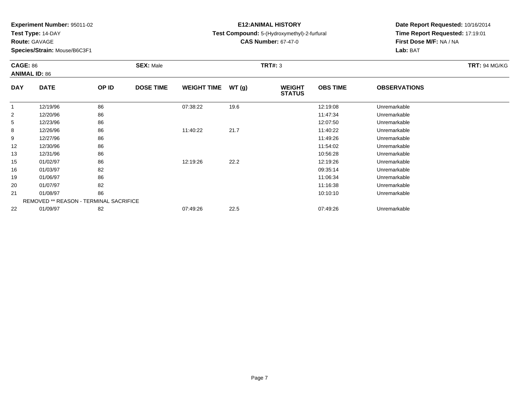**Test Type:** 14-DAY

**Route:** GAVAGE

21

22

**Species/Strain:** Mouse/B6C3F1

REMOVED \*\* REASON - TERMINAL SACRIFICE

# **E12:ANIMAL HISTORY**

**Test Compound:** 5-(Hydroxymethyl)-2-furfural

**CAS Number:** 67-47-0

**Date Report Requested:** 10/16/2014**Time Report Requested:** 17:19:01**First Dose M/F:** NA / NA**Lab:** BAT

| <b>CAGE: 86</b><br><b>ANIMAL ID: 86</b> |             |       | <b>SEX: Male</b> |                    |       | <b>TRT#: 3</b>                 | <b>TRT: 94 MG/KG</b> |                     |  |
|-----------------------------------------|-------------|-------|------------------|--------------------|-------|--------------------------------|----------------------|---------------------|--|
| <b>DAY</b>                              | <b>DATE</b> | OP ID | <b>DOSE TIME</b> | <b>WEIGHT TIME</b> | WT(g) | <b>WEIGHT</b><br><b>STATUS</b> | <b>OBS TIME</b>      | <b>OBSERVATIONS</b> |  |
| $\mathbf{1}$                            | 12/19/96    | 86    |                  | 07:38:22           | 19.6  |                                | 12:19:08             | Unremarkable        |  |
| $\overline{2}$                          | 12/20/96    | 86    |                  |                    |       |                                | 11:47:34             | Unremarkable        |  |
| 5 <sup>5</sup>                          | 12/23/96    | 86    |                  |                    |       |                                | 12:07:50             | Unremarkable        |  |
| 8                                       | 12/26/96    | 86    |                  | 11:40:22           | 21.7  |                                | 11:40:22             | Unremarkable        |  |
| 9                                       | 12/27/96    | 86    |                  |                    |       |                                | 11:49:26             | Unremarkable        |  |
| 12                                      | 12/30/96    | 86    |                  |                    |       |                                | 11:54:02             | Unremarkable        |  |
| 13                                      | 12/31/96    | 86    |                  |                    |       |                                | 10:56:28             | Unremarkable        |  |
| 15                                      | 01/02/97    | 86    |                  | 12:19:26           | 22.2  |                                | 12:19:26             | Unremarkable        |  |
| 16                                      | 01/03/97    | 82    |                  |                    |       |                                | 09:35:14             | Unremarkable        |  |
| 19                                      | 01/06/97    | 86    |                  |                    |       |                                | 11:06:34             | Unremarkable        |  |
| 20                                      | 01/07/97    | 82    |                  |                    |       |                                | 11:16:38             | Unremarkable        |  |

1 01/08/97 86 10:10:10 10:10:10 Unremarkable

01/09/97 <sup>82</sup> 07:49:26 22.5 07:49:26 Unremarkable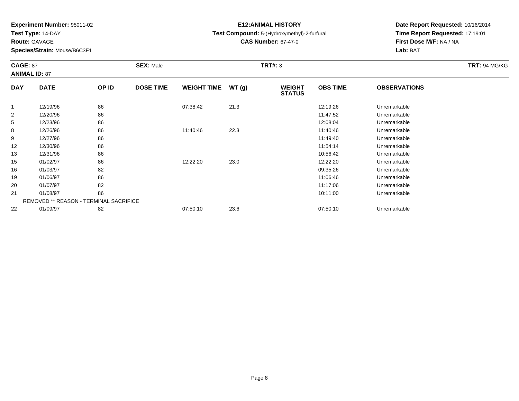**Test Type:** 14-DAY

**Route:** GAVAGE

15

16

19

20

21

22

**Species/Strain:** Mouse/B6C3F1

REMOVED \*\* REASON - TERMINAL SACRIFICE

## **E12:ANIMAL HISTORY**

### **Test Compound:** 5-(Hydroxymethyl)-2-furfural

**CAS Number:** 67-47-0

**Date Report Requested:** 10/16/2014**Time Report Requested:** 17:19:01**First Dose M/F:** NA / NA**Lab:** BAT

#### **CAGE:** 87 **SEX:** Male **TRT#:** <sup>3</sup> **TRT:** 94 MG/KG**ANIMAL ID:** 87**DAY DATE OP IDDOSE TIME WEIGHT TIME WT** (g) **STATUSOBS TIME OBSERVATIONS** 11 12/19/96 86 86 07:38:42 21.3 12:19:26 12:19:26 Unremarkable 22 12/20/96 86 86 13/20 11:47:52 Unremarkable 55 12/23/96 86 86 12/23/96 12:08:04 Unremarkable 88 12/26/96 86 86 11:40:46 22.3 11:40:46 12/26/96 Unremarkable 99 12/27/96 86 16 13/27/96 11:49:40 Unremarkable 122 12/30/96 86 86 12/30/96 11:54:14 Unremarkable 1312/31/96 <sup>86</sup> 10:56:42 Unremarkable

01/02/97 <sup>86</sup> 12:22:20 23.0 12:22:20 Unremarkable

01/03/97 <sup>82</sup> 09:35:26 Unremarkable

01/06/97 <sup>86</sup> 11:06:46 Unremarkable

01/07/97 <sup>82</sup> 11:17:06 Unremarkable

1 1 01/08/97 36 86 10:11:00 10:11:00 10:11:00 10:10:00 Unremarkable

01/09/97 <sup>82</sup> 07:50:10 23.6 07:50:10 Unremarkable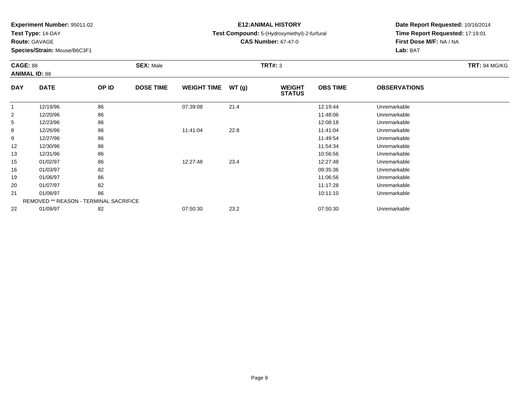**Test Type:** 14-DAY

**Route:** GAVAGE

21

22

**Species/Strain:** Mouse/B6C3F1

REMOVED \*\* REASON - TERMINAL SACRIFICE

# **E12:ANIMAL HISTORY**

### **Test Compound:** 5-(Hydroxymethyl)-2-furfural

**CAS Number:** 67-47-0

**Date Report Requested:** 10/16/2014**Time Report Requested:** 17:19:01**First Dose M/F:** NA / NA**Lab:** BAT

#### **CAGE:** 88 **SEX:** Male **TRT#:** <sup>3</sup> **TRT:** 94 MG/KG**ANIMAL ID:** 88**DAY DATE OP IDDOSE TIME WEIGHT TIME WT** (g) **STATUSOBS TIME OBSERVATIONS** 1 12/19/96 <sup>86</sup> 07:39:08 21.4 12:19:44 Unremarkable 22 12/20/96 86 86 15 and 11:48:06 Unremarkable 55 12/23/96 86 86 12/23/96 12:08:18 Unremarkable 88 12/26/96 86 86 11:41:04 22.8 11:41:04 12:46 11:41:04 99 12/27/96 86 16 13 12 12 13 13 14 15 16 17 17:49:54 Unremarkable 122 12/30/96 86 86 12/30/96 11:54:34 Unremarkable 13 12/31/96 <sup>86</sup> 10:56:56 Unremarkable 15 01/02/97 <sup>86</sup> 12:27:48 23.4 12:27:48 Unremarkable 16 01/03/97 <sup>82</sup> 09:35:36 Unremarkable 19 01/06/97 <sup>86</sup> 11:06:56 Unremarkable 20

01/07/97 <sup>82</sup> 11:17:28 Unremarkable

1 1 01/08/97 36 86 10:11:10 Unremarkable

01/09/97 <sup>82</sup> 07:50:30 23.2 07:50:30 Unremarkable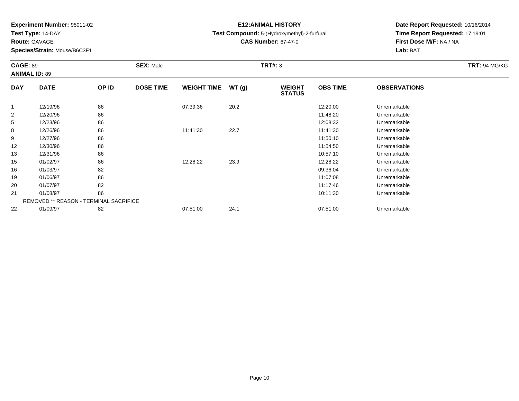**Test Type:** 14-DAY

**Route:** GAVAGE

21

22

**Species/Strain:** Mouse/B6C3F1

REMOVED \*\* REASON - TERMINAL SACRIFICE

# **E12:ANIMAL HISTORY**

**Test Compound:** 5-(Hydroxymethyl)-2-furfural

**CAS Number:** 67-47-0

**Date Report Requested:** 10/16/2014**Time Report Requested:** 17:19:01**First Dose M/F:** NA / NA**Lab:** BAT

#### **CAGE:** 89 **SEX:** Male **TRT#:** <sup>3</sup> **TRT:** 94 MG/KG**ANIMAL ID:** 89**DAY DATE OP IDDOSE TIME WEIGHT TIME WT** (g) **STATUSOBS TIME OBSERVATIONS** 1 12/19/96 <sup>86</sup> 07:39:36 20.2 12:20:00 Unremarkable 22 12/20/96 86 86 13/20 11:48:20 Unremarkable 5 12/23/96 <sup>86</sup> 12:08:32 Unremarkable 88 12/26/96 86 86 11:41:30 22.7 11:41:30 11:41:30 11:41:30 99 12/27/96 86 16 13/27/96 11:50:10 11:50:10 11:50:10 Unremarkable 122 12/30/96 86 86 12/30/96 11:54:50 12/30/96 12/30/96 12/30/96 12/30/96 12/30/96 11:54:50 12/30/96 2011 13 12/31/96 <sup>86</sup> 10:57:10 Unremarkable 15 01/02/97 <sup>86</sup> 12:28:22 23.9 12:28:22 Unremarkable 16 01/03/97 <sup>82</sup> 09:36:04 Unremarkable 19 01/06/97 <sup>86</sup> 11:07:08 Unremarkable 2001/07/97 <sup>82</sup> 11:17:46 Unremarkable

01/09/97 <sup>82</sup> 07:51:00 24.1 07:51:00 Unremarkable

1 1 01/08/97 36 86 10:11:30 Dhremarkable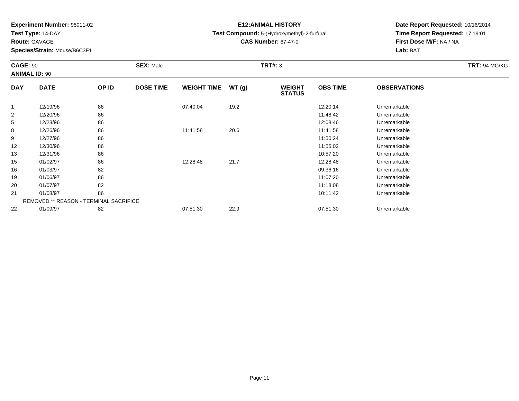**Test Type:** 14-DAY

**Route:** GAVAGE

20

21

22

**Species/Strain:** Mouse/B6C3F1

REMOVED \*\* REASON - TERMINAL SACRIFICE

## **E12:ANIMAL HISTORY**

### **Test Compound:** 5-(Hydroxymethyl)-2-furfural

**CAS Number:** 67-47-0

**Date Report Requested:** 10/16/2014**Time Report Requested:** 17:19:01**First Dose M/F:** NA / NA**Lab:** BAT

#### **CAGE:** 90 **SEX:** Male **TRT#:** <sup>3</sup> **TRT:** 94 MG/KG**ANIMAL ID:** 90**DAY DATE OP IDDOSE TIME WEIGHT TIME WT** (g) **STATUSOBS TIME OBSERVATIONS** 11 12/19/96 86 86 07:40:04 19.2 13.2 12:20:14 Unremarkable 22 12/20/96 86 86 15 and 11:48:42 Unremarkable 55 12/23/96 86 86 12/23/96 12:08:46 Unremarkable 88 12/26/96 86 86 11:41:58 20.6 11:41:58 11:41:58 Dhremarkable 99 12/27/96 86 16 13/27/96 11:50:24 Unremarkable 122 12/30/96 86 86 12/30/96 11:55:02 12/30/96 2010 12:55:02 11:55:02 11:55:02 11:55:02 11:55:02 11:55:02 11:55:0 13 12/31/96 <sup>86</sup> 10:57:20 Unremarkable 15 01/02/97 <sup>86</sup> 12:28:48 21.7 12:28:48 Unremarkable 16 01/03/97 <sup>82</sup> 09:36:16 Unremarkable 1901/06/97 <sup>86</sup> 11:07:20 Unremarkable

01/07/97 <sup>82</sup> 11:18:08 Unremarkable

1 01/08/97 86 10:11:42 10:11:42 Unremarkable

01/09/97 <sup>82</sup> 07:51:30 22.9 07:51:30 Unremarkable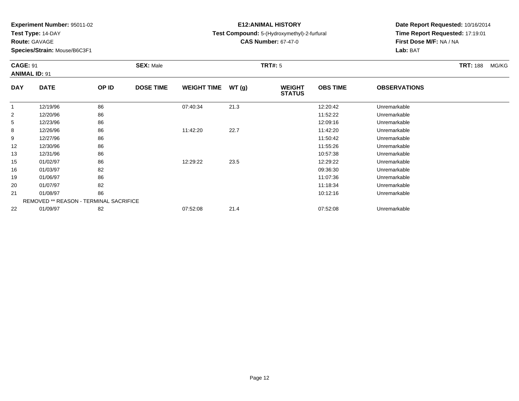**Test Type:** 14-DAY

**Route:** GAVAGE

21

22

**Species/Strain:** Mouse/B6C3F1

# **E12:ANIMAL HISTORY**

**Test Compound:** 5-(Hydroxymethyl)-2-furfural

**CAS Number:** 67-47-0

**Date Report Requested:** 10/16/2014**Time Report Requested:** 17:19:01**First Dose M/F:** NA / NA**Lab:** BAT

#### **CAGE:** 91 **SEX:** Male **TRT#:** <sup>5</sup> **TRT:** 188 MG/KG**ANIMAL ID:** 91**DAY DATE OP IDDOSE TIME WEIGHT TIME WT** (g) **STATUSOBS TIME OBSERVATIONS** 11 12/19/96 86 86 07:40:34 21.3 12:20:42 12:20:42 Unremarkable 22 12/20/96 86 86 15 and 15 and 15 and 11:52:22 12/20/96 11:52:22 Unremarkable 5 12/23/96 <sup>86</sup> 12:09:16 Unremarkable 88 12/26/96 86 86 11:42:20 22.7 11:42:20 11:42:20 11:42:20 99 12/27/96 86 16 13/27/96 11:50:42 Unremarkable 122 12/30/96 86 86 12/30/96 11:55:26 Unremarkable 13 12/31/96 <sup>86</sup> 10:57:38 Unremarkable 15 01/02/97 <sup>86</sup> 12:29:22 23.5 12:29:22 Unremarkable 16 01/03/97 <sup>82</sup> 09:36:30 Unremarkable 19 01/06/97 <sup>86</sup> 11:07:36 Unremarkable 20

| 01/07/97                                      | 82 |          |      | 11:18:34 | Unremarkable |
|-----------------------------------------------|----|----------|------|----------|--------------|
| 01/08/97                                      | 86 |          |      | 10:12:16 | Unremarkable |
| <b>REMOVED ** REASON - TERMINAL SACRIFICE</b> |    |          |      |          |              |
| 01/09/97                                      | 82 | 07:52:08 | 21.4 | 07:52:08 | Unremarkable |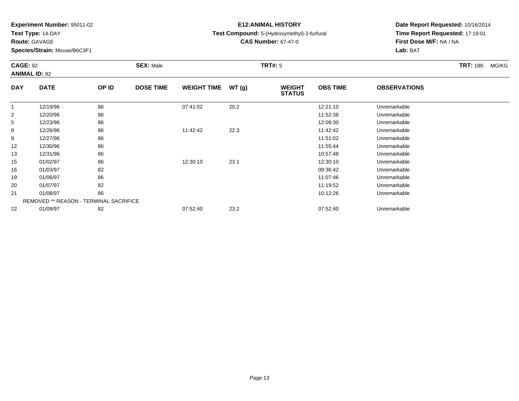**Test Type:** 14-DAY

**Route:** GAVAGE

22

**Species/Strain:** Mouse/B6C3F1

# **E12:ANIMAL HISTORY**

**Test Compound:** 5-(Hydroxymethyl)-2-furfural

**CAS Number:** 67-47-0

**Date Report Requested:** 10/16/2014**Time Report Requested:** 17:19:01**First Dose M/F:** NA / NA**Lab:** BAT

#### **CAGE:** 92 **SEX:** Male **TRT#:** <sup>5</sup> **TRT:** 188 MG/KG**ANIMAL ID:** 92**DAY DATE OP IDDOSE TIME WEIGHT TIME WT** (g) **STATUSOBS TIME OBSERVATIONS** 1 12/19/96 <sup>86</sup> 07:41:02 20.2 12:21:10 Unremarkable 22 12/20/96 86 86 15 and 11:52:38 Unremarkable 5 12/23/96 <sup>86</sup> 12:09:30 Unremarkable 88 12/26/96 86 86 11:42:42 22.3 11:42:42 11:42:42 Unremarkable 99 12/27/96 86 16 13/27/96 11:51:02 Unremarkable 122 12/30/96 86 86 12/30/96 11:55:44 Unremarkable 13 12/31/96 <sup>86</sup> 10:57:48 Unremarkable 15 01/02/97 <sup>86</sup> 12:30:10 23.1 12:30:10 Unremarkable 16 01/03/97 <sup>82</sup> 09:36:42 Unremarkable 19 01/06/97 <sup>86</sup> 11:07:46 Unremarkable 20 01/07/97 <sup>82</sup> 11:19:52 Unremarkable 211 1 01/08/97 36 86 10:12:26 Unremarkable REMOVED \*\* REASON - TERMINAL SACRIFICE

01/09/97 <sup>82</sup> 07:52:40 23.2 07:52:40 Unremarkable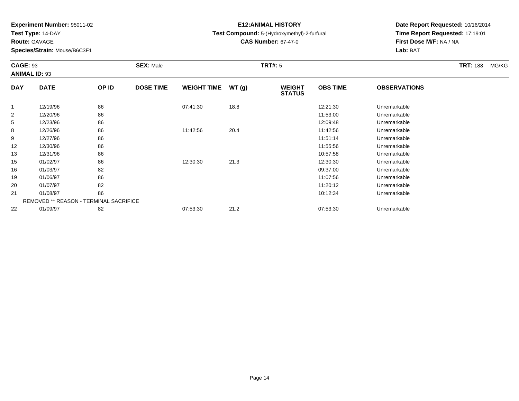**Test Type:** 14-DAY

**Route:** GAVAGE

**Species/Strain:** Mouse/B6C3F1

# **E12:ANIMAL HISTORY**

**Test Compound:** 5-(Hydroxymethyl)-2-furfural

**CAS Number:** 67-47-0

| <b>CAGE: 93</b> | <b>ANIMAL ID: 93</b>                          |       | <b>SEX: Male</b> |                    |       | <b>TRT#: 5</b>                 |                 |                     | <b>TRT: 188</b> | MG/KG |
|-----------------|-----------------------------------------------|-------|------------------|--------------------|-------|--------------------------------|-----------------|---------------------|-----------------|-------|
| <b>DAY</b>      | <b>DATE</b>                                   | OP ID | <b>DOSE TIME</b> | <b>WEIGHT TIME</b> | WT(g) | <b>WEIGHT</b><br><b>STATUS</b> | <b>OBS TIME</b> | <b>OBSERVATIONS</b> |                 |       |
| $\mathbf{1}$    | 12/19/96                                      | 86    |                  | 07:41:30           | 18.8  |                                | 12:21:30        | Unremarkable        |                 |       |
| 2               | 12/20/96                                      | 86    |                  |                    |       |                                | 11:53:00        | Unremarkable        |                 |       |
| 5               | 12/23/96                                      | 86    |                  |                    |       |                                | 12:09:48        | Unremarkable        |                 |       |
| 8               | 12/26/96                                      | 86    |                  | 11:42:56           | 20.4  |                                | 11:42:56        | Unremarkable        |                 |       |
| 9               | 12/27/96                                      | 86    |                  |                    |       |                                | 11:51:14        | Unremarkable        |                 |       |
| 12              | 12/30/96                                      | 86    |                  |                    |       |                                | 11:55:56        | Unremarkable        |                 |       |
| 13              | 12/31/96                                      | 86    |                  |                    |       |                                | 10:57:58        | Unremarkable        |                 |       |
| 15              | 01/02/97                                      | 86    |                  | 12:30:30           | 21.3  |                                | 12:30:30        | Unremarkable        |                 |       |
| 16              | 01/03/97                                      | 82    |                  |                    |       |                                | 09:37:00        | Unremarkable        |                 |       |
| 19              | 01/06/97                                      | 86    |                  |                    |       |                                | 11:07:56        | Unremarkable        |                 |       |
| 20              | 01/07/97                                      | 82    |                  |                    |       |                                | 11:20:12        | Unremarkable        |                 |       |
| 21              | 01/08/97                                      | 86    |                  |                    |       |                                | 10:12:34        | Unremarkable        |                 |       |
|                 | <b>REMOVED ** REASON - TERMINAL SACRIFICE</b> |       |                  |                    |       |                                |                 |                     |                 |       |
| 22              | 01/09/97                                      | 82    |                  | 07:53:30           | 21.2  |                                | 07:53:30        | Unremarkable        |                 |       |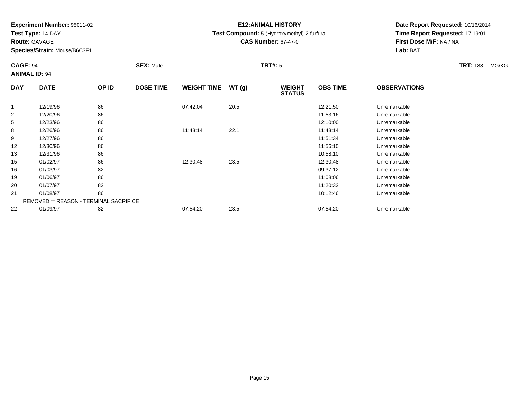**Test Type:** 14-DAY

**Route:** GAVAGE

22

**Species/Strain:** Mouse/B6C3F1

# **E12:ANIMAL HISTORY**

**Test Compound:** 5-(Hydroxymethyl)-2-furfural

**CAS Number:** 67-47-0

**Date Report Requested:** 10/16/2014**Time Report Requested:** 17:19:01**First Dose M/F:** NA / NA**Lab:** BAT

#### **CAGE:** 94 **SEX:** Male **TRT#:** <sup>5</sup> **TRT:** 188 MG/KG**ANIMAL ID:** 94**DAY DATE OP IDDOSE TIME WEIGHT TIME WT** (g) **STATUSOBS TIME OBSERVATIONS** 11 12/19/96 86 86 07:42:04 20.5 12:21:50 12:21:50 Unremarkable 22 12/20/96 86 86 15.10 1.53:16 11:53:16 Unremarkable 55 12/23/96 86 86 12/23/96 12:10:00 12:10:00 12:10:00 Unremarkable 88 12/26/96 86 86 11:43:14 22.1 11:43:14 11:43:14 Dhremarkable 99 12/27/96 86 16 13 12 12 12 13 13 14 15 16 17 17 17 17 17 17 17 18 19 18 17 18 1 122 12/30/96 86 86 12/30/96 11:56:10 Unremarkable 133 12/31/96 86 86 12/31/96 10:58:10 Unremarkable 15 01/02/97 <sup>86</sup> 12:30:48 23.5 12:30:48 Unremarkable 16 01/03/97 <sup>82</sup> 09:37:12 Unremarkable 19 01/06/97 <sup>86</sup> 11:08:06 Unremarkable 20 01/07/97 <sup>82</sup> 11:20:32 Unremarkable 211 01/08/97 86 10:12:46 10:12:46 Unremarkable REMOVED \*\* REASON - TERMINAL SACRIFICE

01/09/97 <sup>82</sup> 07:54:20 23.5 07:54:20 Unremarkable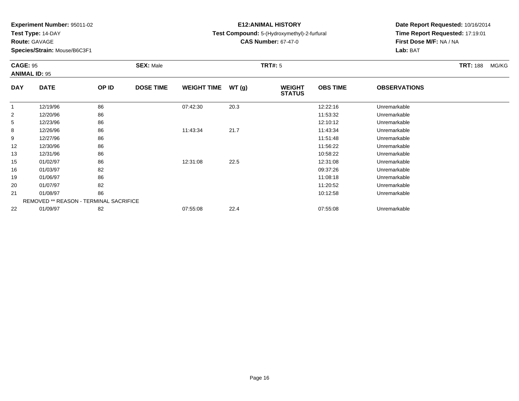**Test Type:** 14-DAY

**Route:** GAVAGE

22

**Species/Strain:** Mouse/B6C3F1

# **E12:ANIMAL HISTORY**

**Test Compound:** 5-(Hydroxymethyl)-2-furfural

**CAS Number:** 67-47-0

**Date Report Requested:** 10/16/2014**Time Report Requested:** 17:19:01**First Dose M/F:** NA / NA**Lab:** BAT

#### **CAGE:** 95 **SEX:** Male **TRT#:** <sup>5</sup> **TRT:** 188 MG/KG**ANIMAL ID:** 95**DAY DATE OP IDDOSE TIME WEIGHT TIME WT** (g) **STATUSOBS TIME OBSERVATIONS** 1 12/19/96 <sup>86</sup> 07:42:30 20.3 12:22:16 Unremarkable 22 12/20/96 86 86 15 and 11:53:32 Unremarkable 55 12/23/96 86 86 12/23/96 12:10:12 Unremarkable 88 12/26/96 86 86 11:43:34 21.7 11:43:34 11:43:34 11:43:34 21.7 99 12/27/96 86 16 13 12 12 12 13 13 13 13 14 15 17 18 17 17 17 17 17 18 18 19 18 1 122 12/30/96 86 86 12/30/96 11:56:22 Unremarkable 13 12/31/96 <sup>86</sup> 10:58:22 Unremarkable 15 01/02/97 <sup>86</sup> 12:31:08 22.5 12:31:08 Unremarkable 16 01/03/97 <sup>82</sup> 09:37:26 Unremarkable 19 01/06/97 <sup>86</sup> 11:08:18 Unremarkable 20 01/07/97 <sup>82</sup> 11:20:52 Unremarkable 211 01/08/97 86 10:12:58 10:12:58 Unremarkable REMOVED \*\* REASON - TERMINAL SACRIFICE

01/09/97 <sup>82</sup> 07:55:08 22.4 07:55:08 Unremarkable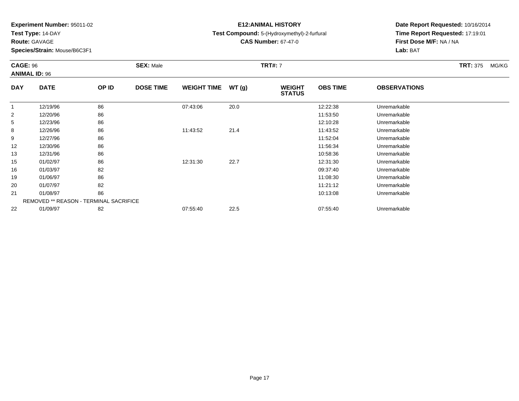**Test Type:** 14-DAY

**Route:** GAVAGE

19

20

21

22

**Species/Strain:** Mouse/B6C3F1

REMOVED \*\* REASON - TERMINAL SACRIFICE

## **E12:ANIMAL HISTORY**

**Test Compound:** 5-(Hydroxymethyl)-2-furfural

**CAS Number:** 67-47-0

**Date Report Requested:** 10/16/2014**Time Report Requested:** 17:19:01**First Dose M/F:** NA / NA**Lab:** BAT

#### **CAGE:** 96 **SEX:** Male **TRT#:** <sup>7</sup> **TRT:** 375 MG/KG**ANIMAL ID:** 96**DAY DATE OP IDDOSE TIME WEIGHT TIME WT** (g) **STATUSOBS TIME OBSERVATIONS** 1 12/19/96 <sup>86</sup> 07:43:06 20.0 12:22:38 Unremarkable 22 12/20/96 86 86 15 and 11:53:50 Unremarkable 5 12/23/96 <sup>86</sup> 12:10:28 Unremarkable 88 12/26/96 86 86 11:43:52 21.4 11:43:52 21.4 11:43:52 Unremarkable 99 12/27/96 86 16 13/27/96 11:52:04 Unremarkable 122 12/30/96 86 86 12/30/96 11:56:34 Unremarkable 133 12/31/96 86 10:58:36 Unremarkable 15 01/02/97 <sup>86</sup> 12:31:30 22.7 12:31:30 Unremarkable 1601/03/97 <sup>82</sup> 09:37:40 Unremarkable

01/06/97 <sup>86</sup> 11:08:30 Unremarkable

01/07/97 <sup>82</sup> 11:21:12 Unremarkable

1 1 01/08/97 36 86 10:13:08 Unremarkable

01/09/97 <sup>82</sup> 07:55:40 22.5 07:55:40 Unremarkable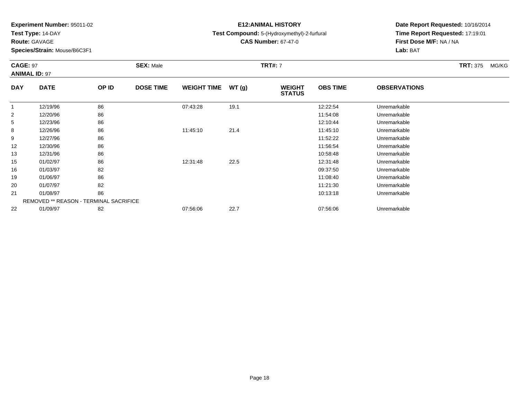**Test Type:** 14-DAY

**Route:** GAVAGE

19

20

21

22

**Species/Strain:** Mouse/B6C3F1

REMOVED \*\* REASON - TERMINAL SACRIFICE

# **E12:ANIMAL HISTORY**

**Test Compound:** 5-(Hydroxymethyl)-2-furfural

**CAS Number:** 67-47-0

**Date Report Requested:** 10/16/2014**Time Report Requested:** 17:19:01**First Dose M/F:** NA / NA**Lab:** BAT

#### **CAGE:** 97 **SEX:** Male **TRT#:** <sup>7</sup> **TRT:** 375 MG/KG**ANIMAL ID:** 97**DAY DATE OP IDDOSE TIME WEIGHT TIME WT** (g) **STATUSOBS TIME OBSERVATIONS** 11 12/19/96 86 86 07:43:28 19.1 12:22:54 Unremarkable 22 12/20/96 86 86 15 and 11:54:08 Unremarkable 55 12/23/96 86 86 12/23/96 12:10:44 Unremarkable 88 12/26/96 86 86 11:45:10 21.4 11:45:10 11:45:10 11:45:10 99 12/27/96 86 16 13/27/96 11:52:22 Unremarkable 122 12/30/96 86 86 12/30/96 11:56:54 Unremarkable 133 12/31/96 86 86 12/31/96 10:58:48 Unremarkable 15 01/02/97 <sup>86</sup> 12:31:48 22.5 12:31:48 Unremarkable 1601/03/97 <sup>82</sup> 09:37:50 Unremarkable

01/06/97 <sup>86</sup> 11:08:40 Unremarkable

01/07/97 <sup>82</sup> 11:21:30 Unremarkable

1 1 01/08/97 36 86 10:13:18 Unremarkable

01/09/97 <sup>82</sup> 07:56:06 22.7 07:56:06 Unremarkable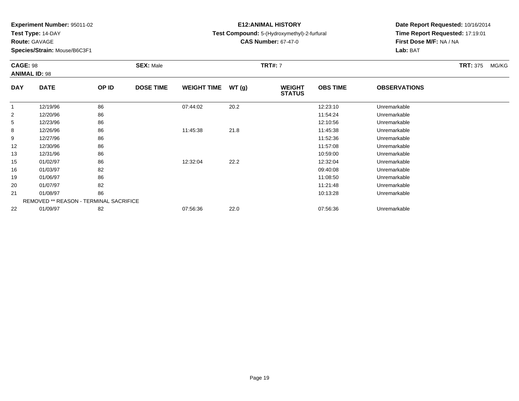**Test Type:** 14-DAY

**Route:** GAVAGE

16

19

20

21

22

**Species/Strain:** Mouse/B6C3F1

REMOVED \*\* REASON - TERMINAL SACRIFICE

## **E12:ANIMAL HISTORY**

**Test Compound:** 5-(Hydroxymethyl)-2-furfural

**CAS Number:** 67-47-0

**Date Report Requested:** 10/16/2014**Time Report Requested:** 17:19:01**First Dose M/F:** NA / NA**Lab:** BAT

#### **CAGE:** 98 **SEX:** Male **TRT#:** <sup>7</sup> **TRT:** 375 MG/KG**ANIMAL ID:** 98**DAY DATE OP IDDOSE TIME WEIGHT TIME WT** (g) **STATUSOBS TIME OBSERVATIONS** 1 12/19/96 <sup>86</sup> 07:44:02 20.2 12:23:10 Unremarkable 22 12/20/96 86 86 15.12 and 1.54:24 Unremarkable 5 12/23/96 <sup>86</sup> 12:10:56 Unremarkable 88 12/26/96 86 86 11:45:38 21.8 21.8 11:45:38 11:45:38 Unremarkable 99 12/27/96 86 16 13/27/96 11:52:36 Unremarkable 122 12/30/96 86 86 12/30/96 11:57:08 11:57:08 Dhremarkable 13 12/31/96 <sup>86</sup> 10:59:00 Unremarkable 1501/02/97 <sup>86</sup> 12:32:04 22.2 12:32:04 Unremarkable

01/03/97 <sup>82</sup> 09:40:08 Unremarkable

01/06/97 <sup>86</sup> 11:08:50 Unremarkable

01/07/97 <sup>82</sup> 11:21:48 Unremarkable

1 1 01/08/97 36 86 10:13:28 Unremarkable

01/09/97 <sup>82</sup> 07:56:36 22.0 07:56:36 Unremarkable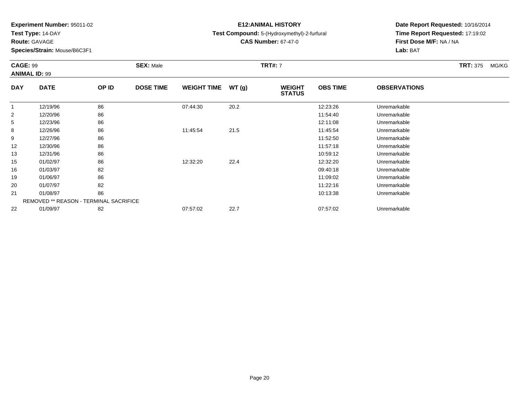**Test Type:** 14-DAY

**Route:** GAVAGE

22

**Species/Strain:** Mouse/B6C3F1

REMOVED \*\* REASON - TERMINAL SACRIFICE

## **E12:ANIMAL HISTORY**

**Test Compound:** 5-(Hydroxymethyl)-2-furfural

**CAS Number:** 67-47-0

**Date Report Requested:** 10/16/2014**Time Report Requested:** 17:19:02**First Dose M/F:** NA / NA**Lab:** BAT

#### **CAGE:** 99 **SEX:** Male **TRT#:** <sup>7</sup> **TRT:** 375 MG/KG**ANIMAL ID:** 99**DAY DATE OP IDDOSE TIME WEIGHT TIME WT** (g) **STATUSOBS TIME OBSERVATIONS** 1 12/19/96 <sup>86</sup> 07:44:30 20.2 12:23:26 Unremarkable 22 12/20/96 86 86 15.1 and 1.54:40 Unremarkable 55 12/23/96 86 86 12/23/96 12:11:08 12:11:08 12:11:08 Unremarkable 88 12/26/96 86 86 11:45:54 21.5 11:45:54 2015 11:45:54 Unremarkable 99 12/27/96 86 16 13/27/96 11:52:50 Unremarkable 122 12/30/96 86 86 12/30/96 11:57:18 Unremarkable 133 12/31/96 86 86 12/31/96 10:59:12 Unremarkable 15 01/02/97 <sup>86</sup> 12:32:20 22.4 12:32:20 Unremarkable 16 01/03/97 <sup>82</sup> 09:40:18 Unremarkable 19 01/06/97 <sup>86</sup> 11:09:02 Unremarkable 20 01/07/97 <sup>82</sup> 11:22:16 Unremarkable 21

1 1 01/08/97 36 86 10:13:38 Unremarkable

01/09/97 <sup>82</sup> 07:57:02 22.7 07:57:02 Unremarkable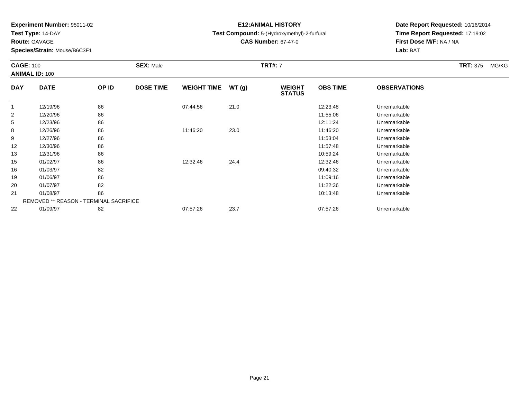**Test Type:** 14-DAY

**Route:** GAVAGE

22

**Species/Strain:** Mouse/B6C3F1

REMOVED \*\* REASON - TERMINAL SACRIFICE

# **E12:ANIMAL HISTORY**

**Test Compound:** 5-(Hydroxymethyl)-2-furfural

**CAS Number:** 67-47-0

**Date Report Requested:** 10/16/2014 **Time Report Requested:** 17:19:02**First Dose M/F:** NA / NA**Lab:** BAT

| <b>CAGE: 100</b><br><b>ANIMAL ID: 100</b> |             |       | <b>SEX: Male</b> |                    |       | <b>TRT#: 7</b>                 |                 |                     | <b>TRT: 375</b> | MG/KG |
|-------------------------------------------|-------------|-------|------------------|--------------------|-------|--------------------------------|-----------------|---------------------|-----------------|-------|
| <b>DAY</b>                                | <b>DATE</b> | OP ID | <b>DOSE TIME</b> | <b>WEIGHT TIME</b> | WT(g) | <b>WEIGHT</b><br><b>STATUS</b> | <b>OBS TIME</b> | <b>OBSERVATIONS</b> |                 |       |
| $\mathbf{1}$                              | 12/19/96    | 86    |                  | 07:44:56           | 21.0  |                                | 12:23:48        | Unremarkable        |                 |       |
| $\overline{2}$                            | 12/20/96    | 86    |                  |                    |       |                                | 11:55:06        | Unremarkable        |                 |       |
| 5                                         | 12/23/96    | 86    |                  |                    |       |                                | 12:11:24        | Unremarkable        |                 |       |
| 8                                         | 12/26/96    | 86    |                  | 11:46:20           | 23.0  |                                | 11:46:20        | Unremarkable        |                 |       |
| 9                                         | 12/27/96    | 86    |                  |                    |       |                                | 11:53:04        | Unremarkable        |                 |       |
| 12                                        | 12/30/96    | 86    |                  |                    |       |                                | 11:57:48        | Unremarkable        |                 |       |
| 13                                        | 12/31/96    | 86    |                  |                    |       |                                | 10:59:24        | Unremarkable        |                 |       |
| 15                                        | 01/02/97    | 86    |                  | 12:32:46           | 24.4  |                                | 12:32:46        | Unremarkable        |                 |       |
| 16                                        | 01/03/97    | 82    |                  |                    |       |                                | 09:40:32        | Unremarkable        |                 |       |
| 19                                        | 01/06/97    | 86    |                  |                    |       |                                | 11:09:16        | Unremarkable        |                 |       |
| 20                                        | 01/07/97    | 82    |                  |                    |       |                                | 11:22:36        | Unremarkable        |                 |       |
| 21                                        | 01/08/97    | 86    |                  |                    |       |                                | 10:13:48        | Unremarkable        |                 |       |

01/09/97 <sup>82</sup> 07:57:26 23.7 07:57:26 Unremarkable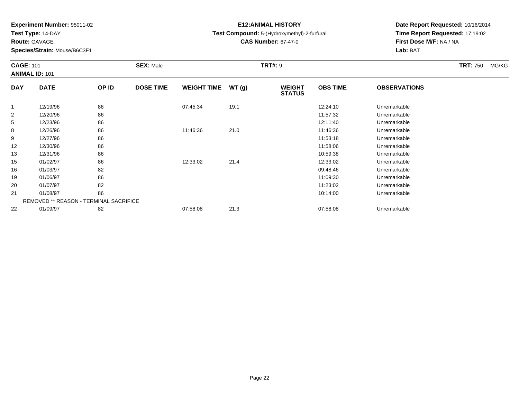**Test Type:** 14-DAY

**Route:** GAVAGE

**Species/Strain:** Mouse/B6C3F1

# **E12:ANIMAL HISTORY**

**Test Compound:** 5-(Hydroxymethyl)-2-furfural

**CAS Number:** 67-47-0

| <b>CAGE: 101</b> | <b>ANIMAL ID: 101</b>                         |       | <b>SEX: Male</b> |                    |       | <b>TRT#: 9</b>                 |                 |                     | <b>TRT: 750</b> | MG/KG |
|------------------|-----------------------------------------------|-------|------------------|--------------------|-------|--------------------------------|-----------------|---------------------|-----------------|-------|
| <b>DAY</b>       | <b>DATE</b>                                   | OP ID | <b>DOSE TIME</b> | <b>WEIGHT TIME</b> | WT(g) | <b>WEIGHT</b><br><b>STATUS</b> | <b>OBS TIME</b> | <b>OBSERVATIONS</b> |                 |       |
|                  | 12/19/96                                      | 86    |                  | 07:45:34           | 19.1  |                                | 12:24:10        | Unremarkable        |                 |       |
| $\overline{2}$   | 12/20/96                                      | 86    |                  |                    |       |                                | 11:57:32        | Unremarkable        |                 |       |
| 5                | 12/23/96                                      | 86    |                  |                    |       |                                | 12:11:40        | Unremarkable        |                 |       |
| 8                | 12/26/96                                      | 86    |                  | 11:46:36           | 21.0  |                                | 11:46:36        | Unremarkable        |                 |       |
| 9                | 12/27/96                                      | 86    |                  |                    |       |                                | 11:53:18        | Unremarkable        |                 |       |
| 12               | 12/30/96                                      | 86    |                  |                    |       |                                | 11:58:06        | Unremarkable        |                 |       |
| 13               | 12/31/96                                      | 86    |                  |                    |       |                                | 10:59:38        | Unremarkable        |                 |       |
| 15               | 01/02/97                                      | 86    |                  | 12:33:02           | 21.4  |                                | 12:33:02        | Unremarkable        |                 |       |
| 16               | 01/03/97                                      | 82    |                  |                    |       |                                | 09:48:46        | Unremarkable        |                 |       |
| 19               | 01/06/97                                      | 86    |                  |                    |       |                                | 11:09:30        | Unremarkable        |                 |       |
| 20               | 01/07/97                                      | 82    |                  |                    |       |                                | 11:23:02        | Unremarkable        |                 |       |
| 21               | 01/08/97                                      | 86    |                  |                    |       |                                | 10:14:00        | Unremarkable        |                 |       |
|                  | <b>REMOVED ** REASON - TERMINAL SACRIFICE</b> |       |                  |                    |       |                                |                 |                     |                 |       |
| 22               | 01/09/97                                      | 82    |                  | 07:58:08           | 21.3  |                                | 07:58:08        | Unremarkable        |                 |       |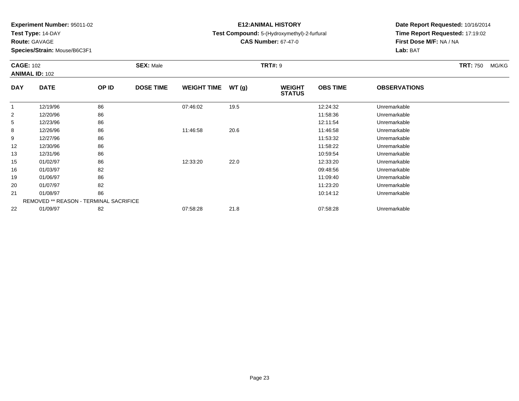**Test Type:** 14-DAY

**Route:** GAVAGE

**Species/Strain:** Mouse/B6C3F1

## **E12:ANIMAL HISTORY**

**Test Compound:** 5-(Hydroxymethyl)-2-furfural

**CAS Number:** 67-47-0

| <b>CAGE: 102</b> | <b>ANIMAL ID: 102</b>                         |       | <b>SEX: Male</b> |                    |       | <b>TRT#: 9</b>                 |                 |                     | <b>TRT: 750</b> | MG/KG |
|------------------|-----------------------------------------------|-------|------------------|--------------------|-------|--------------------------------|-----------------|---------------------|-----------------|-------|
| <b>DAY</b>       | <b>DATE</b>                                   | OP ID | <b>DOSE TIME</b> | <b>WEIGHT TIME</b> | WT(g) | <b>WEIGHT</b><br><b>STATUS</b> | <b>OBS TIME</b> | <b>OBSERVATIONS</b> |                 |       |
|                  | 12/19/96                                      | 86    |                  | 07:46:02           | 19.5  |                                | 12:24:32        | Unremarkable        |                 |       |
| $\overline{2}$   | 12/20/96                                      | 86    |                  |                    |       |                                | 11:58:36        | Unremarkable        |                 |       |
| 5                | 12/23/96                                      | 86    |                  |                    |       |                                | 12:11:54        | Unremarkable        |                 |       |
| 8                | 12/26/96                                      | 86    |                  | 11:46:58           | 20.6  |                                | 11:46:58        | Unremarkable        |                 |       |
| 9                | 12/27/96                                      | 86    |                  |                    |       |                                | 11:53:32        | Unremarkable        |                 |       |
| 12               | 12/30/96                                      | 86    |                  |                    |       |                                | 11:58:22        | Unremarkable        |                 |       |
| 13               | 12/31/96                                      | 86    |                  |                    |       |                                | 10:59:54        | Unremarkable        |                 |       |
| 15               | 01/02/97                                      | 86    |                  | 12:33:20           | 22.0  |                                | 12:33:20        | Unremarkable        |                 |       |
| 16               | 01/03/97                                      | 82    |                  |                    |       |                                | 09:48:56        | Unremarkable        |                 |       |
| 19               | 01/06/97                                      | 86    |                  |                    |       |                                | 11:09:40        | Unremarkable        |                 |       |
| 20               | 01/07/97                                      | 82    |                  |                    |       |                                | 11:23:20        | Unremarkable        |                 |       |
| 21               | 01/08/97                                      | 86    |                  |                    |       |                                | 10:14:12        | Unremarkable        |                 |       |
|                  | <b>REMOVED ** REASON - TERMINAL SACRIFICE</b> |       |                  |                    |       |                                |                 |                     |                 |       |
| 22               | 01/09/97                                      | 82    |                  | 07:58:28           | 21.8  |                                | 07:58:28        | Unremarkable        |                 |       |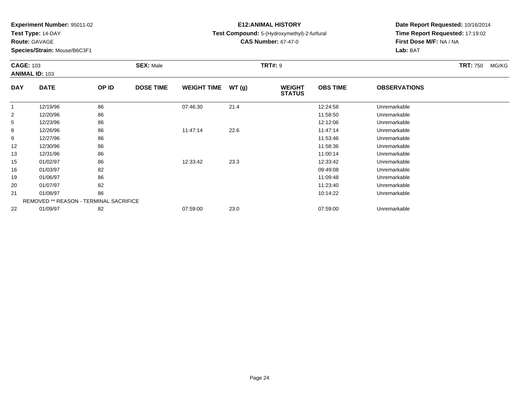**Test Type:** 14-DAY

**Route:** GAVAGE

**Species/Strain:** Mouse/B6C3F1

# **E12:ANIMAL HISTORY**

**Test Compound:** 5-(Hydroxymethyl)-2-furfural

**CAS Number:** 67-47-0

| <b>CAGE: 103</b> | <b>ANIMAL ID: 103</b>                         |       | <b>SEX: Male</b> |                    |       | <b>TRT#: 9</b>                 |                 |                     | <b>TRT: 750</b> | MG/KG |
|------------------|-----------------------------------------------|-------|------------------|--------------------|-------|--------------------------------|-----------------|---------------------|-----------------|-------|
| <b>DAY</b>       | <b>DATE</b>                                   | OP ID | <b>DOSE TIME</b> | <b>WEIGHT TIME</b> | WT(g) | <b>WEIGHT</b><br><b>STATUS</b> | <b>OBS TIME</b> | <b>OBSERVATIONS</b> |                 |       |
|                  | 12/19/96                                      | 86    |                  | 07:46:30           | 21.4  |                                | 12:24:58        | Unremarkable        |                 |       |
| $\overline{2}$   | 12/20/96                                      | 86    |                  |                    |       |                                | 11:58:50        | Unremarkable        |                 |       |
| 5                | 12/23/96                                      | 86    |                  |                    |       |                                | 12:12:06        | Unremarkable        |                 |       |
| 8                | 12/26/96                                      | 86    |                  | 11:47:14           | 22.6  |                                | 11:47:14        | Unremarkable        |                 |       |
| 9                | 12/27/96                                      | 86    |                  |                    |       |                                | 11:53:46        | Unremarkable        |                 |       |
| 12               | 12/30/96                                      | 86    |                  |                    |       |                                | 11:58:36        | Unremarkable        |                 |       |
| 13               | 12/31/96                                      | 86    |                  |                    |       |                                | 11:00:14        | Unremarkable        |                 |       |
| 15               | 01/02/97                                      | 86    |                  | 12:33:42           | 23.3  |                                | 12:33:42        | Unremarkable        |                 |       |
| 16               | 01/03/97                                      | 82    |                  |                    |       |                                | 09:49:08        | Unremarkable        |                 |       |
| 19               | 01/06/97                                      | 86    |                  |                    |       |                                | 11:09:48        | Unremarkable        |                 |       |
| 20               | 01/07/97                                      | 82    |                  |                    |       |                                | 11:23:40        | Unremarkable        |                 |       |
| 21               | 01/08/97                                      | 86    |                  |                    |       |                                | 10:14:22        | Unremarkable        |                 |       |
|                  | <b>REMOVED ** REASON - TERMINAL SACRIFICE</b> |       |                  |                    |       |                                |                 |                     |                 |       |
| 22               | 01/09/97                                      | 82    |                  | 07:59:00           | 23.0  |                                | 07:59:00        | Unremarkable        |                 |       |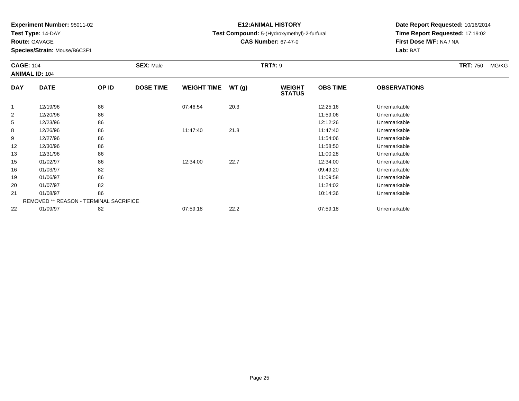**Test Type:** 14-DAY

**Route:** GAVAGE

**Species/Strain:** Mouse/B6C3F1

# **E12:ANIMAL HISTORY**

**Test Compound:** 5-(Hydroxymethyl)-2-furfural

**CAS Number:** 67-47-0

| <b>CAGE: 104</b> | <b>ANIMAL ID: 104</b>                         |       | <b>SEX: Male</b> |                    |       | <b>TRT#: 9</b>                 |                 |                     | <b>TRT: 750</b> | MG/KG |
|------------------|-----------------------------------------------|-------|------------------|--------------------|-------|--------------------------------|-----------------|---------------------|-----------------|-------|
| <b>DAY</b>       | <b>DATE</b>                                   | OP ID | <b>DOSE TIME</b> | <b>WEIGHT TIME</b> | WT(g) | <b>WEIGHT</b><br><b>STATUS</b> | <b>OBS TIME</b> | <b>OBSERVATIONS</b> |                 |       |
|                  | 12/19/96                                      | 86    |                  | 07:46:54           | 20.3  |                                | 12:25:16        | Unremarkable        |                 |       |
| $\overline{2}$   | 12/20/96                                      | 86    |                  |                    |       |                                | 11:59:06        | Unremarkable        |                 |       |
| 5                | 12/23/96                                      | 86    |                  |                    |       |                                | 12:12:26        | Unremarkable        |                 |       |
| 8                | 12/26/96                                      | 86    |                  | 11:47:40           | 21.8  |                                | 11:47:40        | Unremarkable        |                 |       |
| 9                | 12/27/96                                      | 86    |                  |                    |       |                                | 11:54:06        | Unremarkable        |                 |       |
| 12               | 12/30/96                                      | 86    |                  |                    |       |                                | 11:58:50        | Unremarkable        |                 |       |
| 13               | 12/31/96                                      | 86    |                  |                    |       |                                | 11:00:28        | Unremarkable        |                 |       |
| 15               | 01/02/97                                      | 86    |                  | 12:34:00           | 22.7  |                                | 12:34:00        | Unremarkable        |                 |       |
| 16               | 01/03/97                                      | 82    |                  |                    |       |                                | 09:49:20        | Unremarkable        |                 |       |
| 19               | 01/06/97                                      | 86    |                  |                    |       |                                | 11:09:58        | Unremarkable        |                 |       |
| 20               | 01/07/97                                      | 82    |                  |                    |       |                                | 11:24:02        | Unremarkable        |                 |       |
| 21               | 01/08/97                                      | 86    |                  |                    |       |                                | 10:14:36        | Unremarkable        |                 |       |
|                  | <b>REMOVED ** REASON - TERMINAL SACRIFICE</b> |       |                  |                    |       |                                |                 |                     |                 |       |
| 22               | 01/09/97                                      | 82    |                  | 07:59:18           | 22.2  |                                | 07:59:18        | Unremarkable        |                 |       |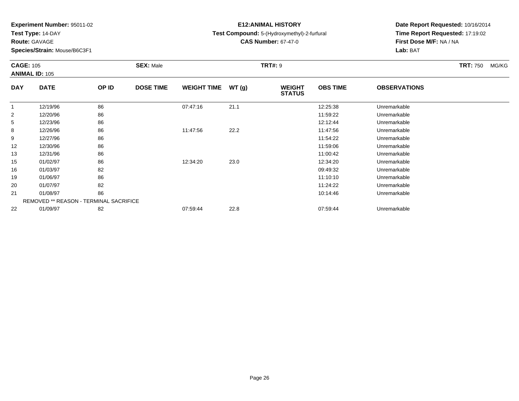**Test Type:** 14-DAY

**Route:** GAVAGE

**Species/Strain:** Mouse/B6C3F1

# **E12:ANIMAL HISTORY**

**Test Compound:** 5-(Hydroxymethyl)-2-furfural

**CAS Number:** 67-47-0

|                | <b>CAGE: 105</b><br><b>ANIMAL ID: 105</b>     |       | <b>SEX: Male</b> |                    |       | <b>TRT#: 9</b>                 |                 |                     | <b>TRT: 750</b> | MG/KG |
|----------------|-----------------------------------------------|-------|------------------|--------------------|-------|--------------------------------|-----------------|---------------------|-----------------|-------|
| <b>DAY</b>     | <b>DATE</b>                                   | OP ID | <b>DOSE TIME</b> | <b>WEIGHT TIME</b> | WT(g) | <b>WEIGHT</b><br><b>STATUS</b> | <b>OBS TIME</b> | <b>OBSERVATIONS</b> |                 |       |
|                | 12/19/96                                      | 86    |                  | 07:47:16           | 21.1  |                                | 12:25:38        | Unremarkable        |                 |       |
| $\overline{2}$ | 12/20/96                                      | 86    |                  |                    |       |                                | 11:59:22        | Unremarkable        |                 |       |
| 5              | 12/23/96                                      | 86    |                  |                    |       |                                | 12:12:44        | Unremarkable        |                 |       |
| 8              | 12/26/96                                      | 86    |                  | 11:47:56           | 22.2  |                                | 11:47:56        | Unremarkable        |                 |       |
| 9              | 12/27/96                                      | 86    |                  |                    |       |                                | 11:54:22        | Unremarkable        |                 |       |
| 12             | 12/30/96                                      | 86    |                  |                    |       |                                | 11:59:06        | Unremarkable        |                 |       |
| 13             | 12/31/96                                      | 86    |                  |                    |       |                                | 11:00:42        | Unremarkable        |                 |       |
| 15             | 01/02/97                                      | 86    |                  | 12:34:20           | 23.0  |                                | 12:34:20        | Unremarkable        |                 |       |
| 16             | 01/03/97                                      | 82    |                  |                    |       |                                | 09:49:32        | Unremarkable        |                 |       |
| 19             | 01/06/97                                      | 86    |                  |                    |       |                                | 11:10:10        | Unremarkable        |                 |       |
| 20             | 01/07/97                                      | 82    |                  |                    |       |                                | 11:24:22        | Unremarkable        |                 |       |
| 21             | 01/08/97                                      | 86    |                  |                    |       |                                | 10:14:46        | Unremarkable        |                 |       |
|                | <b>REMOVED ** REASON - TERMINAL SACRIFICE</b> |       |                  |                    |       |                                |                 |                     |                 |       |
| 22             | 01/09/97                                      | 82    |                  | 07:59:44           | 22.8  |                                | 07.59.44        | Unremarkable        |                 |       |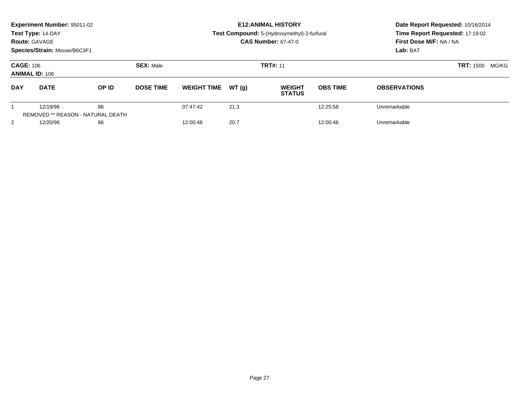|                                                      | Experiment Number: 95011-02<br>Test Type: 14-DAY<br><b>Route: GAVAGE</b><br>Species/Strain: Mouse/B6C3F1 | <b>E12: ANIMAL HISTORY</b><br><b>Test Compound:</b> 5-(Hydroxymethyl)-2-furfural<br><b>CAS Number: 67-47-0</b> |                  |                    |       | Date Report Requested: 10/16/2014<br>Time Report Requested: 17:19:02<br>First Dose M/F: NA / NA<br>Lab: BAT |                 |                     |       |
|------------------------------------------------------|----------------------------------------------------------------------------------------------------------|----------------------------------------------------------------------------------------------------------------|------------------|--------------------|-------|-------------------------------------------------------------------------------------------------------------|-----------------|---------------------|-------|
| <b>CAGE: 106</b>                                     | <b>ANIMAL ID: 106</b>                                                                                    |                                                                                                                | <b>SEX: Male</b> |                    |       | <b>TRT#: 11</b>                                                                                             |                 | <b>TRT: 1500</b>    | MG/KG |
| <b>DAY</b>                                           | <b>DATE</b>                                                                                              | OP ID                                                                                                          | <b>DOSE TIME</b> | <b>WEIGHT TIME</b> | WT(q) | <b>WEIGHT</b><br><b>STATUS</b>                                                                              | <b>OBS TIME</b> | <b>OBSERVATIONS</b> |       |
| 12/19/96<br><b>REMOVED ** REASON - NATURAL DEATH</b> |                                                                                                          | 86                                                                                                             |                  | 07:47:42           | 21.3  |                                                                                                             | 12:25:58        | Unremarkable        |       |
| 2                                                    | 12/20/96                                                                                                 | 86                                                                                                             |                  | 12:00:46           | 20.7  |                                                                                                             | 12:00:46        | Unremarkable        |       |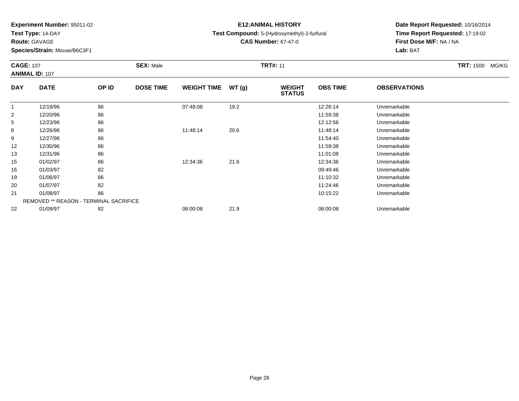**Test Type:** 14-DAY

**Route:** GAVAGE

**Species/Strain:** Mouse/B6C3F1

# **E12:ANIMAL HISTORY**

**Test Compound:** 5-(Hydroxymethyl)-2-furfural

**CAS Number:** 67-47-0

| <b>CAGE: 107</b> | <b>ANIMAL ID: 107</b>                         |       | <b>SEX: Male</b> |                    |       | <b>TRT#: 11</b>                |                 |                     | <b>TRT: 1500 MG/KG</b> |
|------------------|-----------------------------------------------|-------|------------------|--------------------|-------|--------------------------------|-----------------|---------------------|------------------------|
| <b>DAY</b>       | <b>DATE</b>                                   | OP ID | <b>DOSE TIME</b> | <b>WEIGHT TIME</b> | WT(g) | <b>WEIGHT</b><br><b>STATUS</b> | <b>OBS TIME</b> | <b>OBSERVATIONS</b> |                        |
|                  | 12/19/96                                      | 86    |                  | 07:48:08           | 19.2  |                                | 12:26:14        | Unremarkable        |                        |
| $\overline{2}$   | 12/20/96                                      | 86    |                  |                    |       |                                | 11:59:38        | Unremarkable        |                        |
| 5                | 12/23/96                                      | 86    |                  |                    |       |                                | 12:12:56        | Unremarkable        |                        |
| 8                | 12/26/96                                      | 86    |                  | 11:48:14           | 20.6  |                                | 11:48:14        | Unremarkable        |                        |
| 9                | 12/27/96                                      | 86    |                  |                    |       |                                | 11:54:40        | Unremarkable        |                        |
| 12               | 12/30/96                                      | 86    |                  |                    |       |                                | 11:59:38        | Unremarkable        |                        |
| 13               | 12/31/96                                      | 86    |                  |                    |       |                                | 11:01:08        | Unremarkable        |                        |
| 15               | 01/02/97                                      | 86    |                  | 12:34:36           | 21.6  |                                | 12:34:36        | Unremarkable        |                        |
| 16               | 01/03/97                                      | 82    |                  |                    |       |                                | 09:49:46        | Unremarkable        |                        |
| 19               | 01/06/97                                      | 86    |                  |                    |       |                                | 11:10:32        | Unremarkable        |                        |
| 20               | 01/07/97                                      | 82    |                  |                    |       |                                | 11:24:46        | Unremarkable        |                        |
| 21               | 01/08/97                                      | 86    |                  |                    |       |                                | 10:15:22        | Unremarkable        |                        |
|                  | <b>REMOVED ** REASON - TERMINAL SACRIFICE</b> |       |                  |                    |       |                                |                 |                     |                        |
| 22               | 01/09/97                                      | 82    |                  | 08:00:08           | 21.9  |                                | 08:00:08        | Unremarkable        |                        |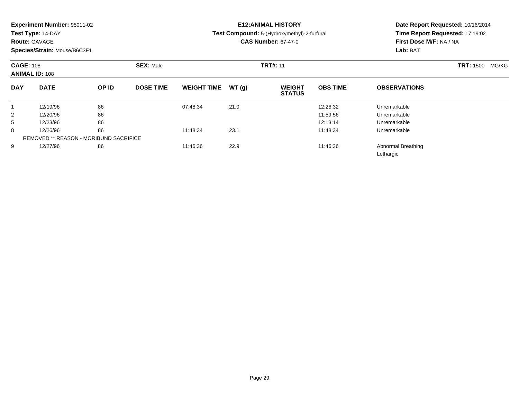**Test Type:** 14-DAY

## **Route:** GAVAGE

**Species/Strain:** Mouse/B6C3F1

# **E12:ANIMAL HISTORY**

**Test Compound:** 5-(Hydroxymethyl)-2-furfural

**CAS Number:** 67-47-0

|            | <b>CAGE: 108</b><br><b>ANIMAL ID: 108</b>     |       | <b>SEX: Male</b> |                    |       | <b>TRT#: 11</b>                |                 | <b>TRT: 1500</b><br>MG/KG       |  |
|------------|-----------------------------------------------|-------|------------------|--------------------|-------|--------------------------------|-----------------|---------------------------------|--|
| <b>DAY</b> | <b>DATE</b>                                   | OP ID | <b>DOSE TIME</b> | <b>WEIGHT TIME</b> | WT(g) | <b>WEIGHT</b><br><b>STATUS</b> | <b>OBS TIME</b> | <b>OBSERVATIONS</b>             |  |
|            | 12/19/96                                      | 86    |                  | 07:48:34           | 21.0  |                                | 12:26:32        | Unremarkable                    |  |
| 2          | 12/20/96                                      | 86    |                  |                    |       |                                | 11:59:56        | Unremarkable                    |  |
| 5          | 12/23/96                                      | 86    |                  |                    |       |                                | 12:13:14        | Unremarkable                    |  |
| 8          | 12/26/96                                      | 86    |                  | 11:48:34           | 23.1  |                                | 11:48:34        | Unremarkable                    |  |
|            | <b>REMOVED ** REASON - MORIBUND SACRIFICE</b> |       |                  |                    |       |                                |                 |                                 |  |
| 9          | 12/27/96                                      | 86    |                  | 11:46:36           | 22.9  |                                | 11:46:36        | Abnormal Breathing<br>Lethargic |  |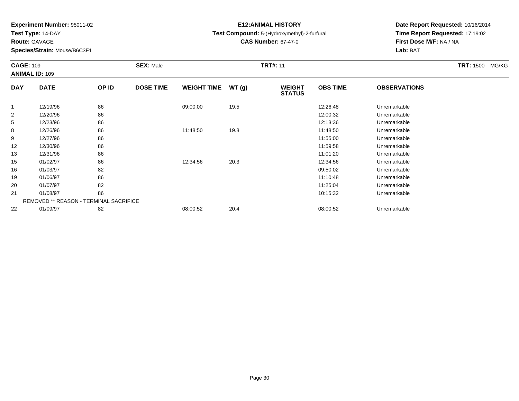**Test Type:** 14-DAY

**Route:** GAVAGE

**Species/Strain:** Mouse/B6C3F1

# **E12:ANIMAL HISTORY**

**Test Compound:** 5-(Hydroxymethyl)-2-furfural

**CAS Number:** 67-47-0

| <b>CAGE: 109</b> | <b>ANIMAL ID: 109</b>                         |       | <b>SEX: Male</b> |                    |       | <b>TRT#: 11</b>                |                 |                     | TRT: 1500 MG/KG |
|------------------|-----------------------------------------------|-------|------------------|--------------------|-------|--------------------------------|-----------------|---------------------|-----------------|
| <b>DAY</b>       | <b>DATE</b>                                   | OP ID | <b>DOSE TIME</b> | <b>WEIGHT TIME</b> | WT(g) | <b>WEIGHT</b><br><b>STATUS</b> | <b>OBS TIME</b> | <b>OBSERVATIONS</b> |                 |
|                  | 12/19/96                                      | 86    |                  | 09:00:00           | 19.5  |                                | 12:26:48        | Unremarkable        |                 |
| 2                | 12/20/96                                      | 86    |                  |                    |       |                                | 12:00:32        | Unremarkable        |                 |
| 5                | 12/23/96                                      | 86    |                  |                    |       |                                | 12:13:36        | Unremarkable        |                 |
| 8                | 12/26/96                                      | 86    |                  | 11:48:50           | 19.8  |                                | 11:48:50        | Unremarkable        |                 |
| 9                | 12/27/96                                      | 86    |                  |                    |       |                                | 11:55:00        | Unremarkable        |                 |
| 12               | 12/30/96                                      | 86    |                  |                    |       |                                | 11:59:58        | Unremarkable        |                 |
| 13               | 12/31/96                                      | 86    |                  |                    |       |                                | 11:01:20        | Unremarkable        |                 |
| 15               | 01/02/97                                      | 86    |                  | 12:34:56           | 20.3  |                                | 12:34:56        | Unremarkable        |                 |
| 16               | 01/03/97                                      | 82    |                  |                    |       |                                | 09:50:02        | Unremarkable        |                 |
| 19               | 01/06/97                                      | 86    |                  |                    |       |                                | 11:10:48        | Unremarkable        |                 |
| 20               | 01/07/97                                      | 82    |                  |                    |       |                                | 11:25:04        | Unremarkable        |                 |
| 21               | 01/08/97                                      | 86    |                  |                    |       |                                | 10:15:32        | Unremarkable        |                 |
|                  | <b>REMOVED ** REASON - TERMINAL SACRIFICE</b> |       |                  |                    |       |                                |                 |                     |                 |
| 22               | 01/09/97                                      | 82    |                  | 08:00:52           | 20.4  |                                | 08:00:52        | Unremarkable        |                 |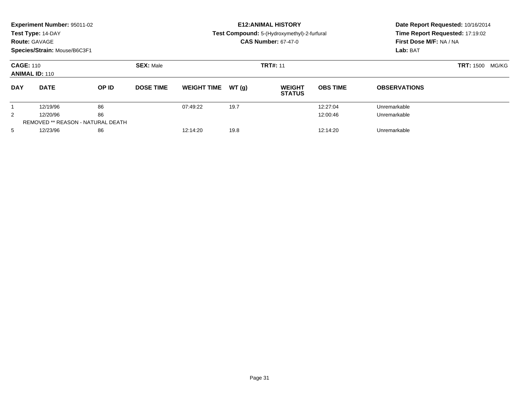|                | <b>Experiment Number: 95011-02</b><br>Test Type: 14-DAY<br><b>Route: GAVAGE</b><br>Species/Strain: Mouse/B6C3F1 |                                          |                  | <b>E12: ANIMAL HISTORY</b><br>Test Compound: 5-(Hydroxymethyl)-2-furfural<br><b>CAS Number: 67-47-0</b> |       |                                |                 | Date Report Requested: 10/16/2014<br>Time Report Requested: 17:19:02<br>First Dose M/F: NA / NA<br>Lab: BAT |                  |       |
|----------------|-----------------------------------------------------------------------------------------------------------------|------------------------------------------|------------------|---------------------------------------------------------------------------------------------------------|-------|--------------------------------|-----------------|-------------------------------------------------------------------------------------------------------------|------------------|-------|
|                | <b>CAGE: 110</b><br><b>SEX: Male</b><br><b>ANIMAL ID: 110</b>                                                   |                                          |                  | <b>TRT#: 11</b>                                                                                         |       |                                |                 |                                                                                                             | <b>TRT: 1500</b> | MG/KG |
| <b>DAY</b>     | <b>DATE</b>                                                                                                     | OP ID                                    | <b>DOSE TIME</b> | <b>WEIGHT TIME</b>                                                                                      | WT(q) | <b>WEIGHT</b><br><b>STATUS</b> | <b>OBS TIME</b> | <b>OBSERVATIONS</b>                                                                                         |                  |       |
|                | 12/19/96                                                                                                        | 86                                       |                  | 07:49:22                                                                                                | 19.7  |                                | 12:27:04        | Unremarkable                                                                                                |                  |       |
| $\overline{2}$ | 86<br>12/20/96                                                                                                  |                                          |                  |                                                                                                         |       | 12:00:46                       | Unremarkable    |                                                                                                             |                  |       |
|                |                                                                                                                 | <b>REMOVED ** REASON - NATURAL DEATH</b> |                  |                                                                                                         |       |                                |                 |                                                                                                             |                  |       |
| 5              | 12/23/96                                                                                                        | 86                                       |                  | 12:14:20                                                                                                | 19.8  |                                | 12:14:20        | Unremarkable                                                                                                |                  |       |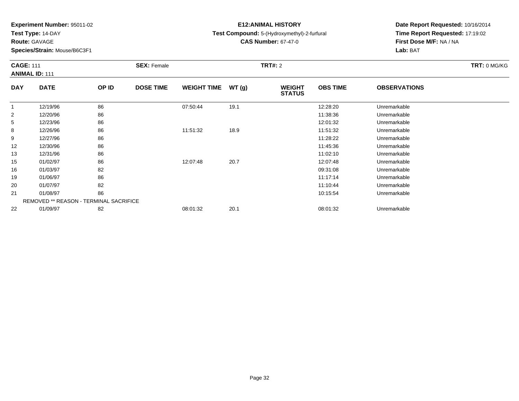**Test Type:** 14-DAY

**Route:** GAVAGE

22

**Species/Strain:** Mouse/B6C3F1

REMOVED \*\* REASON - TERMINAL SACRIFICE

## **E12:ANIMAL HISTORY**

### **Test Compound:** 5-(Hydroxymethyl)-2-furfural

**CAS Number:** 67-47-0

**Date Report Requested:** 10/16/2014 **Time Report Requested:** 17:19:02**First Dose M/F:** NA / NA**Lab:** BAT

| <b>CAGE: 111</b><br><b>ANIMAL ID: 111</b> |             |       | <b>SEX: Female</b> |                    |       | <b>TRT#: 2</b>                 |                 |                     | TRT: 0 MG/KG |
|-------------------------------------------|-------------|-------|--------------------|--------------------|-------|--------------------------------|-----------------|---------------------|--------------|
| <b>DAY</b>                                | <b>DATE</b> | OP ID | <b>DOSE TIME</b>   | <b>WEIGHT TIME</b> | WT(g) | <b>WEIGHT</b><br><b>STATUS</b> | <b>OBS TIME</b> | <b>OBSERVATIONS</b> |              |
|                                           | 12/19/96    | 86    |                    | 07:50:44           | 19.1  |                                | 12:28:20        | Unremarkable        |              |
| $\overline{2}$                            | 12/20/96    | 86    |                    |                    |       |                                | 11:38:36        | Unremarkable        |              |
| 5                                         | 12/23/96    | 86    |                    |                    |       |                                | 12:01:32        | Unremarkable        |              |
| 8                                         | 12/26/96    | 86    |                    | 11:51:32           | 18.9  |                                | 11:51:32        | Unremarkable        |              |
| 9                                         | 12/27/96    | 86    |                    |                    |       |                                | 11:28:22        | Unremarkable        |              |
| 12                                        | 12/30/96    | 86    |                    |                    |       |                                | 11:45:36        | Unremarkable        |              |
| 13                                        | 12/31/96    | 86    |                    |                    |       |                                | 11:02:10        | Unremarkable        |              |
| 15                                        | 01/02/97    | 86    |                    | 12:07:48           | 20.7  |                                | 12:07:48        | Unremarkable        |              |
| 16                                        | 01/03/97    | 82    |                    |                    |       |                                | 09:31:08        | Unremarkable        |              |
| 19                                        | 01/06/97    | 86    |                    |                    |       |                                | 11:17:14        | Unremarkable        |              |
| 20                                        | 01/07/97    | 82    |                    |                    |       |                                | 11:10:44        | Unremarkable        |              |
| 21                                        | 01/08/97    | 86    |                    |                    |       |                                | 10:15:54        | Unremarkable        |              |

01/09/97 <sup>82</sup> 08:01:32 20.1 08:01:32 Unremarkable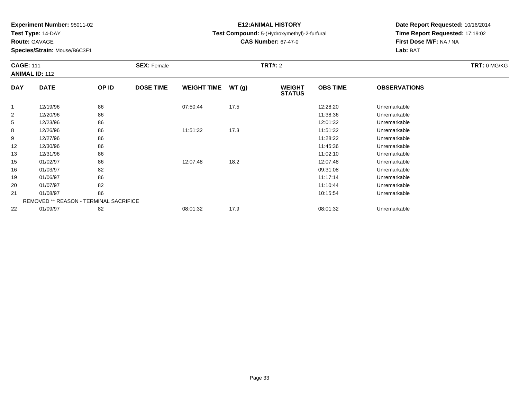**Test Type:** 14-DAY

**Route:** GAVAGE

21

22

**Species/Strain:** Mouse/B6C3F1

REMOVED \*\* REASON - TERMINAL SACRIFICE

## **E12:ANIMAL HISTORY**

### **Test Compound:** 5-(Hydroxymethyl)-2-furfural

**CAS Number:** 67-47-0

**Date Report Requested:** 10/16/2014 **Time Report Requested:** 17:19:02**First Dose M/F:** NA / NA**Lab:** BAT

|            | <b>CAGE: 111</b><br><b>ANIMAL ID: 112</b> |       | <b>SEX: Female</b> |                    |       | <b>TRT#: 2</b>                 | TRT: 0 MG/KG    |                     |  |
|------------|-------------------------------------------|-------|--------------------|--------------------|-------|--------------------------------|-----------------|---------------------|--|
| <b>DAY</b> | <b>DATE</b>                               | OP ID | <b>DOSE TIME</b>   | <b>WEIGHT TIME</b> | WT(g) | <b>WEIGHT</b><br><b>STATUS</b> | <b>OBS TIME</b> | <b>OBSERVATIONS</b> |  |
|            | 12/19/96                                  | 86    |                    | 07:50:44           | 17.5  |                                | 12:28:20        | Unremarkable        |  |
| 2          | 12/20/96                                  | 86    |                    |                    |       |                                | 11:38:36        | Unremarkable        |  |
| 5          | 12/23/96                                  | 86    |                    |                    |       |                                | 12:01:32        | Unremarkable        |  |
| 8          | 12/26/96                                  | 86    |                    | 11:51:32           | 17.3  |                                | 11:51:32        | Unremarkable        |  |
| 9          | 12/27/96                                  | 86    |                    |                    |       |                                | 11:28:22        | Unremarkable        |  |
| 12         | 12/30/96                                  | 86    |                    |                    |       |                                | 11:45:36        | Unremarkable        |  |
| 13         | 12/31/96                                  | 86    |                    |                    |       |                                | 11:02:10        | Unremarkable        |  |
| 15         | 01/02/97                                  | 86    |                    | 12:07:48           | 18.2  |                                | 12:07:48        | Unremarkable        |  |
| 16         | 01/03/97                                  | 82    |                    |                    |       |                                | 09:31:08        | Unremarkable        |  |
| 19         | 01/06/97                                  | 86    |                    |                    |       |                                | 11:17:14        | Unremarkable        |  |
| 20         | 01/07/97                                  | 82    |                    |                    |       |                                | 11:10:44        | Unremarkable        |  |

1 01/08/97 86 10:15:54 Unremarkable

01/09/97 <sup>82</sup> 08:01:32 17.9 08:01:32 Unremarkable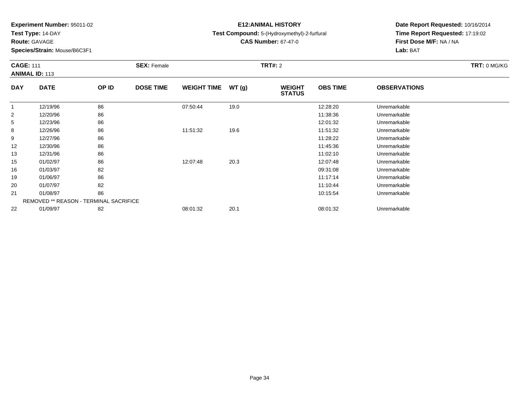**Test Type:** 14-DAY

**Route:** GAVAGE

**Species/Strain:** Mouse/B6C3F1

# **E12:ANIMAL HISTORY**

**Test Compound:** 5-(Hydroxymethyl)-2-furfural

**CAS Number:** 67-47-0

| <b>CAGE: 111</b> | <b>ANIMAL ID: 113</b> |       | <b>SEX: Female</b> |                    |        | <b>TRT#: 2</b>                 |                 |                     | TRT: 0 MG/KG |
|------------------|-----------------------|-------|--------------------|--------------------|--------|--------------------------------|-----------------|---------------------|--------------|
| <b>DAY</b>       | <b>DATE</b>           | OP ID | <b>DOSE TIME</b>   | <b>WEIGHT TIME</b> | WT (q) | <b>WEIGHT</b><br><b>STATUS</b> | <b>OBS TIME</b> | <b>OBSERVATIONS</b> |              |
|                  | 12/19/96              | 86    |                    | 07:50:44           | 19.0   |                                | 12:28:20        | Unremarkable        |              |
| 2                | 12/20/96              | 86    |                    |                    |        |                                | 11:38:36        | Unremarkable        |              |
| 5                | 12/23/96              | 86    |                    |                    |        |                                | 12:01:32        | Unremarkable        |              |
| 8                | 12/26/96              | 86    |                    | 11:51:32           | 19.6   |                                | 11:51:32        | Unremarkable        |              |
| a                | 12/27/96              | ጸፍ    |                    |                    |        |                                | 11.28.22        | <b>Unremarkable</b> |              |

| ۰                 | 12/26/96                                      | 86 | 11:51:32 | 19.6 | 11:51:32<br>Unremarkable |  |
|-------------------|-----------------------------------------------|----|----------|------|--------------------------|--|
| 9                 | 12/27/96                                      | 86 |          |      | 11:28:22<br>Unremarkable |  |
| $12 \overline{ }$ | 12/30/96                                      | 86 |          |      | 11:45:36<br>Unremarkable |  |
| 13                | 12/31/96                                      | 86 |          |      | 11:02:10<br>Unremarkable |  |
| 15                | 01/02/97                                      | 86 | 12:07:48 | 20.3 | Unremarkable<br>12:07:48 |  |
| 16                | 01/03/97                                      | 82 |          |      | Unremarkable<br>09:31:08 |  |
| 19                | 01/06/97                                      | 86 |          |      | Unremarkable<br>11:17:14 |  |
| 20                | 01/07/97                                      | 82 |          |      | Unremarkable<br>11:10:44 |  |
| 21                | 01/08/97                                      | 86 |          |      | Unremarkable<br>10:15:54 |  |
|                   | <b>REMOVED ** REASON - TERMINAL SACRIFICE</b> |    |          |      |                          |  |
| 22                | 01/09/97                                      | 82 | 08:01:32 | 20.1 | 08:01:32<br>Unremarkable |  |
|                   |                                               |    |          |      |                          |  |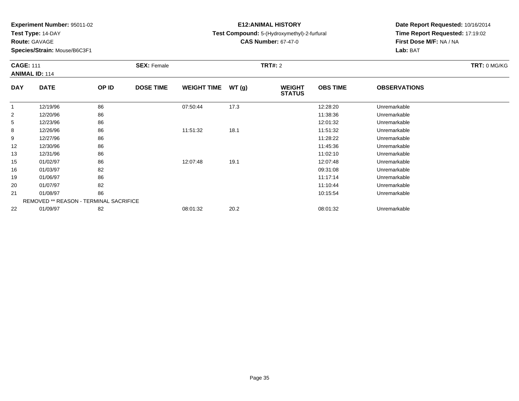**Test Type:** 14-DAY

**Route:** GAVAGE

22

**Species/Strain:** Mouse/B6C3F1

# **E12:ANIMAL HISTORY**

### **Test Compound:** 5-(Hydroxymethyl)-2-furfural

**CAS Number:** 67-47-0

**Date Report Requested:** 10/16/2014 **Time Report Requested:** 17:19:02**First Dose M/F:** NA / NA**Lab:** BAT

|                | <b>CAGE: 111</b><br><b>ANIMAL ID: 114</b> |       | <b>SEX: Female</b> |                    |       | <b>TRT#: 2</b>                 | TRT: 0 MG/KG    |                     |  |
|----------------|-------------------------------------------|-------|--------------------|--------------------|-------|--------------------------------|-----------------|---------------------|--|
| <b>DAY</b>     | <b>DATE</b>                               | OP ID | <b>DOSE TIME</b>   | <b>WEIGHT TIME</b> | WT(g) | <b>WEIGHT</b><br><b>STATUS</b> | <b>OBS TIME</b> | <b>OBSERVATIONS</b> |  |
|                | 12/19/96                                  | 86    |                    | 07:50:44           | 17.3  |                                | 12:28:20        | Unremarkable        |  |
| $\overline{2}$ | 12/20/96                                  | 86    |                    |                    |       |                                | 11:38:36        | Unremarkable        |  |
| 5              | 12/23/96                                  | 86    |                    |                    |       |                                | 12:01:32        | Unremarkable        |  |
| 8              | 12/26/96                                  | 86    |                    | 11:51:32           | 18.1  |                                | 11:51:32        | Unremarkable        |  |
| 9              | 12/27/96                                  | 86    |                    |                    |       |                                | 11:28:22        | Unremarkable        |  |
| 12             | 12/30/96                                  | 86    |                    |                    |       |                                | 11:45:36        | Unremarkable        |  |
| 13             | 12/31/96                                  | 86    |                    |                    |       |                                | 11:02:10        | Unremarkable        |  |
| 15             | 01/02/97                                  | 86    |                    | 12:07:48           | 19.1  |                                | 12:07:48        | Unremarkable        |  |
| 16             | 01/03/97                                  | 82    |                    |                    |       |                                | 09:31:08        | Unremarkable        |  |
| 19             | 01/06/97                                  | 86    |                    |                    |       |                                | 11:17:14        | Unremarkable        |  |
| 20             | 01/07/97                                  | 82    |                    |                    |       |                                | 11:10:44        | Unremarkable        |  |
| 21             | 01/08/97                                  | 86    |                    |                    |       |                                | 10:15:54        | Unremarkable        |  |
|                | REMOVED ** REASON - TERMINAL SACRIFICE    |       |                    |                    |       |                                |                 |                     |  |

01/09/97 <sup>82</sup> 08:01:32 20.2 08:01:32 Unremarkable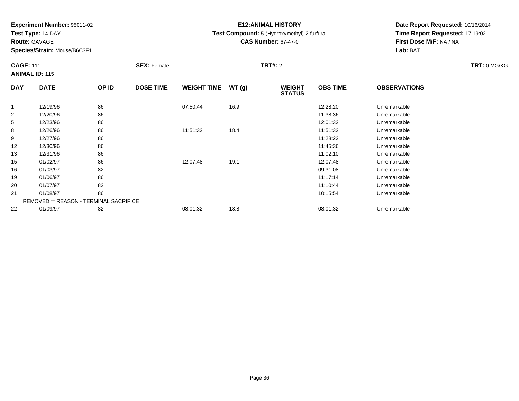**Test Type:** 14-DAY

**Route:** GAVAGE

22

**Species/Strain:** Mouse/B6C3F1

# **E12:ANIMAL HISTORY**

### **Test Compound:** 5-(Hydroxymethyl)-2-furfural

**CAS Number:** 67-47-0

**Date Report Requested:** 10/16/2014 **Time Report Requested:** 17:19:02**First Dose M/F:** NA / NA**Lab:** BAT

| <b>CAGE: 111</b> | <b>ANIMAL ID: 115</b>                  |       | <b>SEX: Female</b> |                    |       | <b>TRT#: 2</b>                 |                 |                     | TRT: 0 MG/KG |
|------------------|----------------------------------------|-------|--------------------|--------------------|-------|--------------------------------|-----------------|---------------------|--------------|
| <b>DAY</b>       | <b>DATE</b>                            | OP ID | <b>DOSE TIME</b>   | <b>WEIGHT TIME</b> | WT(g) | <b>WEIGHT</b><br><b>STATUS</b> | <b>OBS TIME</b> | <b>OBSERVATIONS</b> |              |
|                  | 12/19/96                               | 86    |                    | 07:50:44           | 16.9  |                                | 12:28:20        | Unremarkable        |              |
| $\overline{2}$   | 12/20/96                               | 86    |                    |                    |       |                                | 11:38:36        | Unremarkable        |              |
| 5                | 12/23/96                               | 86    |                    |                    |       |                                | 12:01:32        | Unremarkable        |              |
| 8                | 12/26/96                               | 86    |                    | 11:51:32           | 18.4  |                                | 11:51:32        | Unremarkable        |              |
| 9                | 12/27/96                               | 86    |                    |                    |       |                                | 11:28:22        | Unremarkable        |              |
| 12               | 12/30/96                               | 86    |                    |                    |       |                                | 11:45:36        | Unremarkable        |              |
| 13               | 12/31/96                               | 86    |                    |                    |       |                                | 11:02:10        | Unremarkable        |              |
| 15               | 01/02/97                               | 86    |                    | 12:07:48           | 19.1  |                                | 12:07:48        | Unremarkable        |              |
| 16               | 01/03/97                               | 82    |                    |                    |       |                                | 09:31:08        | Unremarkable        |              |
| 19               | 01/06/97                               | 86    |                    |                    |       |                                | 11:17:14        | Unremarkable        |              |
| 20               | 01/07/97                               | 82    |                    |                    |       |                                | 11:10:44        | Unremarkable        |              |
| 21               | 01/08/97                               | 86    |                    |                    |       |                                | 10:15:54        | Unremarkable        |              |
|                  | REMOVED ** REASON - TERMINAL SACRIFICE |       |                    |                    |       |                                |                 |                     |              |

01/09/97 <sup>82</sup> 08:01:32 18.8 08:01:32 Unremarkable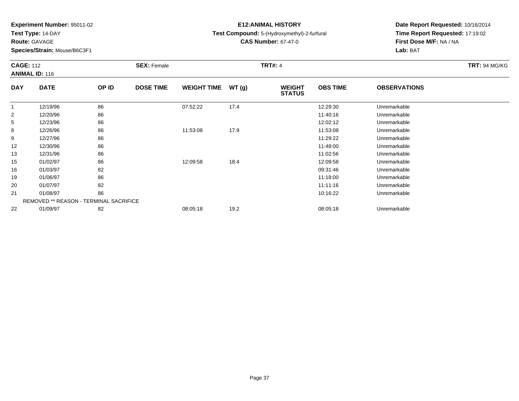**Test Type:** 14-DAY

**Route:** GAVAGE

**Species/Strain:** Mouse/B6C3F1

# **E12:ANIMAL HISTORY**

**Test Compound:** 5-(Hydroxymethyl)-2-furfural

**CAS Number:** 67-47-0

| <b>CAGE: 112</b> | <b>ANIMAL ID: 116</b>                         |       | <b>SEX: Female</b> |                    |       | <b>TRT#: 4</b>                 |                 |                     | <b>TRT: 94 MG/KG</b> |
|------------------|-----------------------------------------------|-------|--------------------|--------------------|-------|--------------------------------|-----------------|---------------------|----------------------|
| <b>DAY</b>       | <b>DATE</b>                                   | OP ID | <b>DOSE TIME</b>   | <b>WEIGHT TIME</b> | WT(g) | <b>WEIGHT</b><br><b>STATUS</b> | <b>OBS TIME</b> | <b>OBSERVATIONS</b> |                      |
| 1                | 12/19/96                                      | 86    |                    | 07:52:22           | 17.4  |                                | 12:29:30        | Unremarkable        |                      |
| 2                | 12/20/96                                      | 86    |                    |                    |       |                                | 11:40:16        | Unremarkable        |                      |
| 5                | 12/23/96                                      | 86    |                    |                    |       |                                | 12:02:12        | Unremarkable        |                      |
| 8                | 12/26/96                                      | 86    |                    | 11:53:08           | 17.9  |                                | 11:53:08        | Unremarkable        |                      |
| 9                | 12/27/96                                      | 86    |                    |                    |       |                                | 11:29:22        | Unremarkable        |                      |
| 12               | 12/30/96                                      | 86    |                    |                    |       |                                | 11:48:00        | Unremarkable        |                      |
| 13               | 12/31/96                                      | 86    |                    |                    |       |                                | 11:02:56        | Unremarkable        |                      |
| 15               | 01/02/97                                      | 86    |                    | 12:09:58           | 18.4  |                                | 12:09:58        | Unremarkable        |                      |
| 16               | 01/03/97                                      | 82    |                    |                    |       |                                | 09:31:46        | Unremarkable        |                      |
| 19               | 01/06/97                                      | 86    |                    |                    |       |                                | 11:18:00        | Unremarkable        |                      |
| 20               | 01/07/97                                      | 82    |                    |                    |       |                                | 11:11:16        | Unremarkable        |                      |
| 21               | 01/08/97                                      | 86    |                    |                    |       |                                | 10:16:22        | Unremarkable        |                      |
|                  | <b>REMOVED ** REASON - TERMINAL SACRIFICE</b> |       |                    |                    |       |                                |                 |                     |                      |
| 22               | 01/09/97                                      | 82    |                    | 08:05:18           | 19.2  |                                | 08:05:18        | Unremarkable        |                      |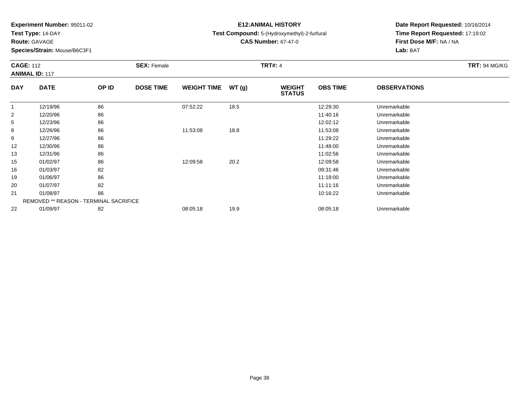**Test Type:** 14-DAY

**Route:** GAVAGE

22

**Species/Strain:** Mouse/B6C3F1

REMOVED \*\* REASON - TERMINAL SACRIFICE

# **E12:ANIMAL HISTORY**

### **Test Compound:** 5-(Hydroxymethyl)-2-furfural

**CAS Number:** 67-47-0

**Date Report Requested:** 10/16/2014 **Time Report Requested:** 17:19:02**First Dose M/F:** NA / NA**Lab:** BAT

|            | <b>CAGE: 112</b><br><b>ANIMAL ID: 117</b> |       | <b>SEX: Female</b> |                    |       | <b>TRT#: 4</b>                 | <b>TRT: 94 MG/KG</b> |                     |  |
|------------|-------------------------------------------|-------|--------------------|--------------------|-------|--------------------------------|----------------------|---------------------|--|
| <b>DAY</b> | <b>DATE</b>                               | OP ID | <b>DOSE TIME</b>   | <b>WEIGHT TIME</b> | WT(g) | <b>WEIGHT</b><br><b>STATUS</b> | <b>OBS TIME</b>      | <b>OBSERVATIONS</b> |  |
| 1          | 12/19/96                                  | 86    |                    | 07:52:22           | 18.5  |                                | 12:29:30             | Unremarkable        |  |
| 2          | 12/20/96                                  | 86    |                    |                    |       |                                | 11:40:16             | Unremarkable        |  |
| 5          | 12/23/96                                  | 86    |                    |                    |       |                                | 12:02:12             | Unremarkable        |  |
| 8          | 12/26/96                                  | 86    |                    | 11:53:08           | 18.8  |                                | 11:53:08             | Unremarkable        |  |
| 9          | 12/27/96                                  | 86    |                    |                    |       |                                | 11:29:22             | Unremarkable        |  |
| 12         | 12/30/96                                  | 86    |                    |                    |       |                                | 11:48:00             | Unremarkable        |  |
| 13         | 12/31/96                                  | 86    |                    |                    |       |                                | 11:02:56             | Unremarkable        |  |
| 15         | 01/02/97                                  | 86    |                    | 12:09:58           | 20.2  |                                | 12:09:58             | Unremarkable        |  |
| 16         | 01/03/97                                  | 82    |                    |                    |       |                                | 09:31:46             | Unremarkable        |  |
| 19         | 01/06/97                                  | 86    |                    |                    |       |                                | 11:18:00             | Unremarkable        |  |
| 20         | 01/07/97                                  | 82    |                    |                    |       |                                | 11:11:16             | Unremarkable        |  |
| 21         | 01/08/97                                  | 86    |                    |                    |       |                                | 10:16:22             | Unremarkable        |  |

1 01/08/97 86 10:16:22 10:16:22 Unremarkable

01/09/97 <sup>82</sup> 08:05:18 19.9 08:05:18 Unremarkable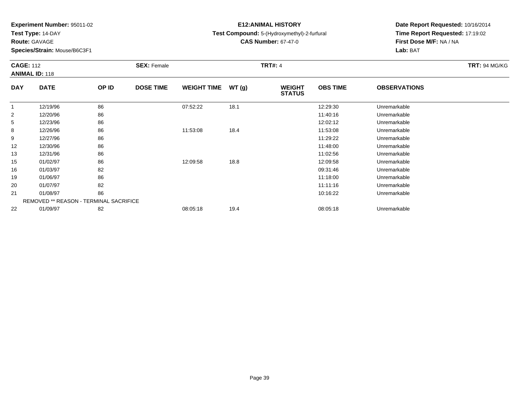**Test Type:** 14-DAY

**Route:** GAVAGE

**Species/Strain:** Mouse/B6C3F1

# **E12:ANIMAL HISTORY**

### **Test Compound:** 5-(Hydroxymethyl)-2-furfural

**CAS Number:** 67-47-0

| <b>CAGE: 112</b> |                                               |       | <b>SEX: Female</b> |                    |       | <b>TRT#: 4</b>                 |                 |                     | <b>TRT: 94 MG/KG</b> |
|------------------|-----------------------------------------------|-------|--------------------|--------------------|-------|--------------------------------|-----------------|---------------------|----------------------|
|                  | <b>ANIMAL ID: 118</b>                         |       |                    |                    |       |                                |                 |                     |                      |
| <b>DAY</b>       | <b>DATE</b>                                   | OP ID | <b>DOSE TIME</b>   | <b>WEIGHT TIME</b> | WT(g) | <b>WEIGHT</b><br><b>STATUS</b> | <b>OBS TIME</b> | <b>OBSERVATIONS</b> |                      |
| $\mathbf{1}$     | 12/19/96                                      | 86    |                    | 07:52:22           | 18.1  |                                | 12:29:30        | Unremarkable        |                      |
| 2                | 12/20/96                                      | 86    |                    |                    |       |                                | 11:40:16        | Unremarkable        |                      |
| 5                | 12/23/96                                      | 86    |                    |                    |       |                                | 12:02:12        | Unremarkable        |                      |
| 8                | 12/26/96                                      | 86    |                    | 11:53:08           | 18.4  |                                | 11:53:08        | Unremarkable        |                      |
| 9                | 12/27/96                                      | 86    |                    |                    |       |                                | 11:29:22        | Unremarkable        |                      |
| 12               | 12/30/96                                      | 86    |                    |                    |       |                                | 11:48:00        | Unremarkable        |                      |
| 13               | 12/31/96                                      | 86    |                    |                    |       |                                | 11:02:56        | Unremarkable        |                      |
| 15               | 01/02/97                                      | 86    |                    | 12:09:58           | 18.8  |                                | 12:09:58        | Unremarkable        |                      |
| 16               | 01/03/97                                      | 82    |                    |                    |       |                                | 09:31:46        | Unremarkable        |                      |
| 19               | 01/06/97                                      | 86    |                    |                    |       |                                | 11:18:00        | Unremarkable        |                      |
| 20               | 01/07/97                                      | 82    |                    |                    |       |                                | 11:11:16        | Unremarkable        |                      |
| 21               | 01/08/97                                      | 86    |                    |                    |       |                                | 10:16:22        | Unremarkable        |                      |
|                  | <b>REMOVED ** REASON - TERMINAL SACRIFICE</b> |       |                    |                    |       |                                |                 |                     |                      |
| 22               | 01/09/97                                      | 82    |                    | 08:05:18           | 19.4  |                                | 08:05:18        | Unremarkable        |                      |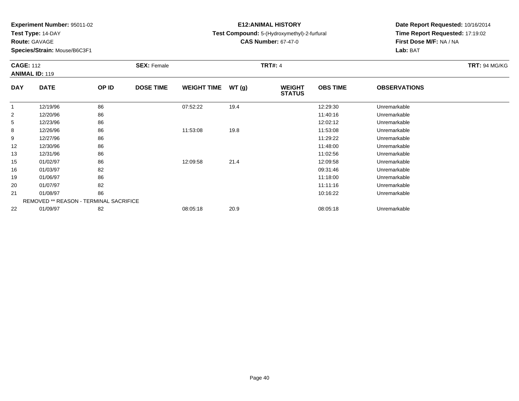**Test Type:** 14-DAY

**Route:** GAVAGE

**Species/Strain:** Mouse/B6C3F1

# **E12:ANIMAL HISTORY**

**Test Compound:** 5-(Hydroxymethyl)-2-furfural

**CAS Number:** 67-47-0

| <b>CAGE: 112</b> | <b>ANIMAL ID: 119</b>                         |       | <b>SEX: Female</b> |                    |       | <b>TRT#: 4</b>                 |                 |                     | <b>TRT: 94 MG/KG</b> |
|------------------|-----------------------------------------------|-------|--------------------|--------------------|-------|--------------------------------|-----------------|---------------------|----------------------|
| <b>DAY</b>       | <b>DATE</b>                                   | OP ID | <b>DOSE TIME</b>   | <b>WEIGHT TIME</b> | WT(g) | <b>WEIGHT</b><br><b>STATUS</b> | <b>OBS TIME</b> | <b>OBSERVATIONS</b> |                      |
| 1                | 12/19/96                                      | 86    |                    | 07:52:22           | 19.4  |                                | 12:29:30        | Unremarkable        |                      |
| $\overline{2}$   | 12/20/96                                      | 86    |                    |                    |       |                                | 11:40:16        | Unremarkable        |                      |
| 5                | 12/23/96                                      | 86    |                    |                    |       |                                | 12:02:12        | Unremarkable        |                      |
| 8                | 12/26/96                                      | 86    |                    | 11:53:08           | 19.8  |                                | 11:53:08        | Unremarkable        |                      |
| 9                | 12/27/96                                      | 86    |                    |                    |       |                                | 11:29:22        | Unremarkable        |                      |
| 12               | 12/30/96                                      | 86    |                    |                    |       |                                | 11:48:00        | Unremarkable        |                      |
| 13               | 12/31/96                                      | 86    |                    |                    |       |                                | 11:02:56        | Unremarkable        |                      |
| 15               | 01/02/97                                      | 86    |                    | 12:09:58           | 21.4  |                                | 12:09:58        | Unremarkable        |                      |
| 16               | 01/03/97                                      | 82    |                    |                    |       |                                | 09:31:46        | Unremarkable        |                      |
| 19               | 01/06/97                                      | 86    |                    |                    |       |                                | 11:18:00        | Unremarkable        |                      |
| 20               | 01/07/97                                      | 82    |                    |                    |       |                                | 11:11:16        | Unremarkable        |                      |
| 21               | 01/08/97                                      | 86    |                    |                    |       |                                | 10:16:22        | Unremarkable        |                      |
|                  | <b>REMOVED ** REASON - TERMINAL SACRIFICE</b> |       |                    |                    |       |                                |                 |                     |                      |
| 22               | 01/09/97                                      | 82    |                    | 08:05:18           | 20.9  |                                | 08:05:18        | Unremarkable        |                      |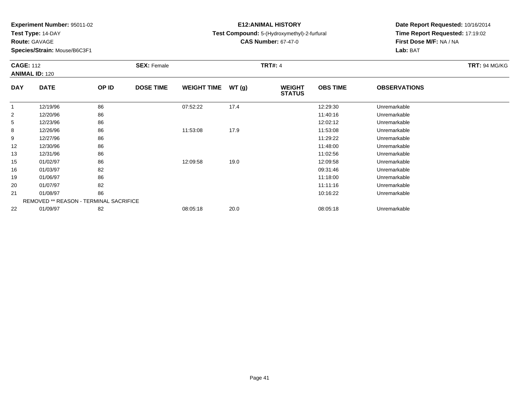**Test Type:** 14-DAY

**Route:** GAVAGE

**Species/Strain:** Mouse/B6C3F1

# **E12:ANIMAL HISTORY**

**Test Compound:** 5-(Hydroxymethyl)-2-furfural

**CAS Number:** 67-47-0

| <b>CAGE: 112</b> | <b>ANIMAL ID: 120</b>                         |       | <b>SEX: Female</b> |                    |       | <b>TRT#: 4</b>                 |                 |                     | <b>TRT: 94 MG/KG</b> |
|------------------|-----------------------------------------------|-------|--------------------|--------------------|-------|--------------------------------|-----------------|---------------------|----------------------|
| <b>DAY</b>       | <b>DATE</b>                                   | OP ID | <b>DOSE TIME</b>   | <b>WEIGHT TIME</b> | WT(g) | <b>WEIGHT</b><br><b>STATUS</b> | <b>OBS TIME</b> | <b>OBSERVATIONS</b> |                      |
| 1                | 12/19/96                                      | 86    |                    | 07:52:22           | 17.4  |                                | 12:29:30        | Unremarkable        |                      |
| 2                | 12/20/96                                      | 86    |                    |                    |       |                                | 11:40:16        | Unremarkable        |                      |
| 5                | 12/23/96                                      | 86    |                    |                    |       |                                | 12:02:12        | Unremarkable        |                      |
| 8                | 12/26/96                                      | 86    |                    | 11:53:08           | 17.9  |                                | 11:53:08        | Unremarkable        |                      |
| 9                | 12/27/96                                      | 86    |                    |                    |       |                                | 11:29:22        | Unremarkable        |                      |
| 12               | 12/30/96                                      | 86    |                    |                    |       |                                | 11:48:00        | Unremarkable        |                      |
| 13               | 12/31/96                                      | 86    |                    |                    |       |                                | 11:02:56        | Unremarkable        |                      |
| 15               | 01/02/97                                      | 86    |                    | 12:09:58           | 19.0  |                                | 12:09:58        | Unremarkable        |                      |
| 16               | 01/03/97                                      | 82    |                    |                    |       |                                | 09:31:46        | Unremarkable        |                      |
| 19               | 01/06/97                                      | 86    |                    |                    |       |                                | 11:18:00        | Unremarkable        |                      |
| 20               | 01/07/97                                      | 82    |                    |                    |       |                                | 11:11:16        | Unremarkable        |                      |
| 21               | 01/08/97                                      | 86    |                    |                    |       |                                | 10:16:22        | Unremarkable        |                      |
|                  | <b>REMOVED ** REASON - TERMINAL SACRIFICE</b> |       |                    |                    |       |                                |                 |                     |                      |
| 22               | 01/09/97                                      | 82    |                    | 08:05:18           | 20.0  |                                | 08:05:18        | Unremarkable        |                      |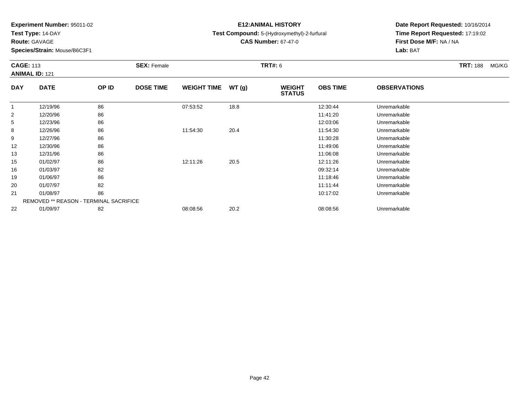**Test Type:** 14-DAY

**Route:** GAVAGE

**Species/Strain:** Mouse/B6C3F1

# **E12:ANIMAL HISTORY**

**Test Compound:** 5-(Hydroxymethyl)-2-furfural

**CAS Number:** 67-47-0

|                | <b>CAGE: 113</b><br><b>ANIMAL ID: 121</b>     |       | <b>SEX: Female</b> |                    |       | <b>TRT#: 6</b>                 |                 |                     | <b>TRT: 188</b> | MG/KG |
|----------------|-----------------------------------------------|-------|--------------------|--------------------|-------|--------------------------------|-----------------|---------------------|-----------------|-------|
| <b>DAY</b>     | <b>DATE</b>                                   | OP ID | <b>DOSE TIME</b>   | <b>WEIGHT TIME</b> | WT(g) | <b>WEIGHT</b><br><b>STATUS</b> | <b>OBS TIME</b> | <b>OBSERVATIONS</b> |                 |       |
|                | 12/19/96                                      | 86    |                    | 07:53:52           | 18.8  |                                | 12:30:44        | Unremarkable        |                 |       |
| $\overline{2}$ | 12/20/96                                      | 86    |                    |                    |       |                                | 11:41:20        | Unremarkable        |                 |       |
| 5              | 12/23/96                                      | 86    |                    |                    |       |                                | 12:03:06        | Unremarkable        |                 |       |
| 8              | 12/26/96                                      | 86    |                    | 11:54:30           | 20.4  |                                | 11:54:30        | Unremarkable        |                 |       |
| 9              | 12/27/96                                      | 86    |                    |                    |       |                                | 11:30:28        | Unremarkable        |                 |       |
| 12             | 12/30/96                                      | 86    |                    |                    |       |                                | 11:49:06        | Unremarkable        |                 |       |
| 13             | 12/31/96                                      | 86    |                    |                    |       |                                | 11:06:08        | Unremarkable        |                 |       |
| 15             | 01/02/97                                      | 86    |                    | 12:11:26           | 20.5  |                                | 12:11:26        | Unremarkable        |                 |       |
| 16             | 01/03/97                                      | 82    |                    |                    |       |                                | 09:32:14        | Unremarkable        |                 |       |
| 19             | 01/06/97                                      | 86    |                    |                    |       |                                | 11:18:46        | Unremarkable        |                 |       |
| 20             | 01/07/97                                      | 82    |                    |                    |       |                                | 11:11:44        | Unremarkable        |                 |       |
| 21             | 01/08/97                                      | 86    |                    |                    |       |                                | 10:17:02        | Unremarkable        |                 |       |
|                | <b>REMOVED ** REASON - TERMINAL SACRIFICE</b> |       |                    |                    |       |                                |                 |                     |                 |       |
| 22             | 01/09/97                                      | 82    |                    | 08:08:56           | 20.2  |                                | 08:08:56        | Unremarkable        |                 |       |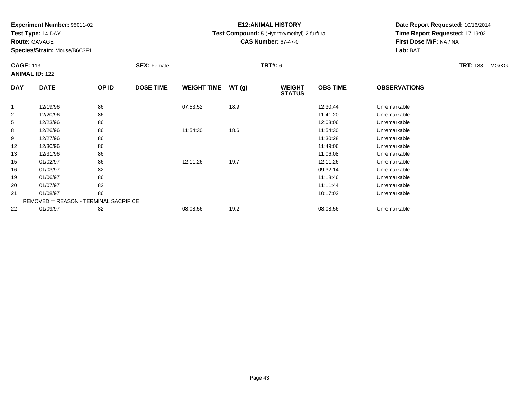**Test Type:** 14-DAY

**Route:** GAVAGE

**Species/Strain:** Mouse/B6C3F1

# **E12:ANIMAL HISTORY**

**Test Compound:** 5-(Hydroxymethyl)-2-furfural

**CAS Number:** 67-47-0

|                | <b>CAGE: 113</b><br><b>ANIMAL ID: 122</b>     |       | <b>SEX: Female</b> |                    |       | <b>TRT#: 6</b>                 |                 |                     | <b>TRT: 188</b> | MG/KG |
|----------------|-----------------------------------------------|-------|--------------------|--------------------|-------|--------------------------------|-----------------|---------------------|-----------------|-------|
| <b>DAY</b>     | <b>DATE</b>                                   | OP ID | <b>DOSE TIME</b>   | <b>WEIGHT TIME</b> | WT(g) | <b>WEIGHT</b><br><b>STATUS</b> | <b>OBS TIME</b> | <b>OBSERVATIONS</b> |                 |       |
|                | 12/19/96                                      | 86    |                    | 07:53:52           | 18.9  |                                | 12:30:44        | Unremarkable        |                 |       |
| $\overline{2}$ | 12/20/96                                      | 86    |                    |                    |       |                                | 11:41:20        | Unremarkable        |                 |       |
| 5              | 12/23/96                                      | 86    |                    |                    |       |                                | 12:03:06        | Unremarkable        |                 |       |
| 8              | 12/26/96                                      | 86    |                    | 11:54:30           | 18.6  |                                | 11:54:30        | Unremarkable        |                 |       |
| 9              | 12/27/96                                      | 86    |                    |                    |       |                                | 11:30:28        | Unremarkable        |                 |       |
| 12             | 12/30/96                                      | 86    |                    |                    |       |                                | 11:49:06        | Unremarkable        |                 |       |
| 13             | 12/31/96                                      | 86    |                    |                    |       |                                | 11:06:08        | Unremarkable        |                 |       |
| 15             | 01/02/97                                      | 86    |                    | 12:11:26           | 19.7  |                                | 12:11:26        | Unremarkable        |                 |       |
| 16             | 01/03/97                                      | 82    |                    |                    |       |                                | 09:32:14        | Unremarkable        |                 |       |
| 19             | 01/06/97                                      | 86    |                    |                    |       |                                | 11:18:46        | Unremarkable        |                 |       |
| 20             | 01/07/97                                      | 82    |                    |                    |       |                                | 11:11:44        | Unremarkable        |                 |       |
| 21             | 01/08/97                                      | 86    |                    |                    |       |                                | 10:17:02        | Unremarkable        |                 |       |
|                | <b>REMOVED ** REASON - TERMINAL SACRIFICE</b> |       |                    |                    |       |                                |                 |                     |                 |       |
| 22             | 01/09/97                                      | 82    |                    | 08:08:56           | 19.2  |                                | 08:08:56        | Unremarkable        |                 |       |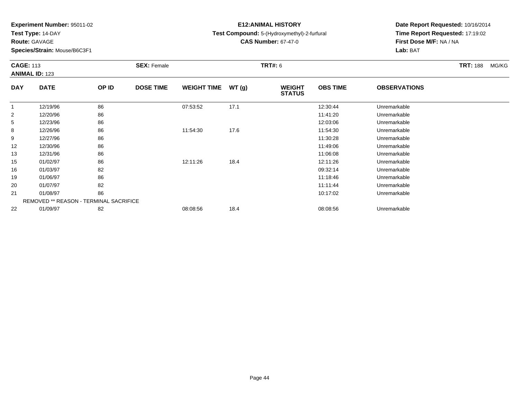**Test Type:** 14-DAY

**Route:** GAVAGE

**Species/Strain:** Mouse/B6C3F1

# **E12:ANIMAL HISTORY**

**Test Compound:** 5-(Hydroxymethyl)-2-furfural

**CAS Number:** 67-47-0

|                | <b>CAGE: 113</b><br><b>ANIMAL ID: 123</b>     |       | <b>SEX: Female</b> |                    |       | <b>TRT#: 6</b>                 |                 |                     | <b>TRT: 188</b> | MG/KG |
|----------------|-----------------------------------------------|-------|--------------------|--------------------|-------|--------------------------------|-----------------|---------------------|-----------------|-------|
| <b>DAY</b>     | <b>DATE</b>                                   | OP ID | <b>DOSE TIME</b>   | <b>WEIGHT TIME</b> | WT(g) | <b>WEIGHT</b><br><b>STATUS</b> | <b>OBS TIME</b> | <b>OBSERVATIONS</b> |                 |       |
|                | 12/19/96                                      | 86    |                    | 07:53:52           | 17.1  |                                | 12:30:44        | Unremarkable        |                 |       |
| $\overline{2}$ | 12/20/96                                      | 86    |                    |                    |       |                                | 11:41:20        | Unremarkable        |                 |       |
| 5              | 12/23/96                                      | 86    |                    |                    |       |                                | 12:03:06        | Unremarkable        |                 |       |
| 8              | 12/26/96                                      | 86    |                    | 11:54:30           | 17.6  |                                | 11:54:30        | Unremarkable        |                 |       |
| 9              | 12/27/96                                      | 86    |                    |                    |       |                                | 11:30:28        | Unremarkable        |                 |       |
| 12             | 12/30/96                                      | 86    |                    |                    |       |                                | 11:49:06        | Unremarkable        |                 |       |
| 13             | 12/31/96                                      | 86    |                    |                    |       |                                | 11:06:08        | Unremarkable        |                 |       |
| 15             | 01/02/97                                      | 86    |                    | 12:11:26           | 18.4  |                                | 12:11:26        | Unremarkable        |                 |       |
| 16             | 01/03/97                                      | 82    |                    |                    |       |                                | 09:32:14        | Unremarkable        |                 |       |
| 19             | 01/06/97                                      | 86    |                    |                    |       |                                | 11:18:46        | Unremarkable        |                 |       |
| 20             | 01/07/97                                      | 82    |                    |                    |       |                                | 11:11:44        | Unremarkable        |                 |       |
| 21             | 01/08/97                                      | 86    |                    |                    |       |                                | 10:17:02        | Unremarkable        |                 |       |
|                | <b>REMOVED ** REASON - TERMINAL SACRIFICE</b> |       |                    |                    |       |                                |                 |                     |                 |       |
| 22             | 01/09/97                                      | 82    |                    | 08:08:56           | 18.4  |                                | 08:08:56        | Unremarkable        |                 |       |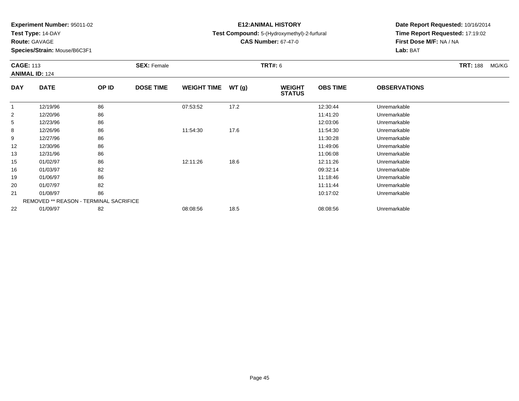**Test Type:** 14-DAY

**Route:** GAVAGE

**Species/Strain:** Mouse/B6C3F1

# **E12:ANIMAL HISTORY**

**Test Compound:** 5-(Hydroxymethyl)-2-furfural

**CAS Number:** 67-47-0

|                | <b>CAGE: 113</b><br><b>ANIMAL ID: 124</b>     |       | <b>SEX: Female</b> |                    |       | <b>TRT#: 6</b>                 |                 |                     | <b>TRT: 188</b> | MG/KG |
|----------------|-----------------------------------------------|-------|--------------------|--------------------|-------|--------------------------------|-----------------|---------------------|-----------------|-------|
| <b>DAY</b>     | <b>DATE</b>                                   | OP ID | <b>DOSE TIME</b>   | <b>WEIGHT TIME</b> | WT(g) | <b>WEIGHT</b><br><b>STATUS</b> | <b>OBS TIME</b> | <b>OBSERVATIONS</b> |                 |       |
|                | 12/19/96                                      | 86    |                    | 07:53:52           | 17.2  |                                | 12:30:44        | Unremarkable        |                 |       |
| $\overline{2}$ | 12/20/96                                      | 86    |                    |                    |       |                                | 11:41:20        | Unremarkable        |                 |       |
| 5              | 12/23/96                                      | 86    |                    |                    |       |                                | 12:03:06        | Unremarkable        |                 |       |
| 8              | 12/26/96                                      | 86    |                    | 11:54:30           | 17.6  |                                | 11:54:30        | Unremarkable        |                 |       |
| 9              | 12/27/96                                      | 86    |                    |                    |       |                                | 11:30:28        | Unremarkable        |                 |       |
| 12             | 12/30/96                                      | 86    |                    |                    |       |                                | 11:49:06        | Unremarkable        |                 |       |
| 13             | 12/31/96                                      | 86    |                    |                    |       |                                | 11:06:08        | Unremarkable        |                 |       |
| 15             | 01/02/97                                      | 86    |                    | 12:11:26           | 18.6  |                                | 12:11:26        | Unremarkable        |                 |       |
| 16             | 01/03/97                                      | 82    |                    |                    |       |                                | 09:32:14        | Unremarkable        |                 |       |
| 19             | 01/06/97                                      | 86    |                    |                    |       |                                | 11:18:46        | Unremarkable        |                 |       |
| 20             | 01/07/97                                      | 82    |                    |                    |       |                                | 11:11:44        | Unremarkable        |                 |       |
| 21             | 01/08/97                                      | 86    |                    |                    |       |                                | 10:17:02        | Unremarkable        |                 |       |
|                | <b>REMOVED ** REASON - TERMINAL SACRIFICE</b> |       |                    |                    |       |                                |                 |                     |                 |       |
| 22             | 01/09/97                                      | 82    |                    | 08:08:56           | 18.5  |                                | 08:08:56        | Unremarkable        |                 |       |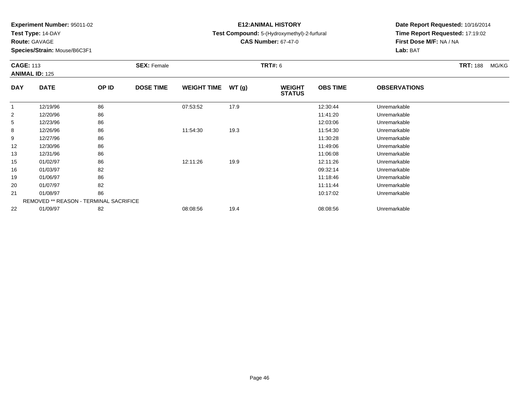**Test Type:** 14-DAY

**Route:** GAVAGE

**Species/Strain:** Mouse/B6C3F1

# **E12:ANIMAL HISTORY**

**Test Compound:** 5-(Hydroxymethyl)-2-furfural

**CAS Number:** 67-47-0

|                | <b>CAGE: 113</b><br><b>ANIMAL ID: 125</b>     |       | <b>SEX: Female</b> |                    |       | <b>TRT#: 6</b>                 |                 |                     | <b>TRT: 188</b> | MG/KG |
|----------------|-----------------------------------------------|-------|--------------------|--------------------|-------|--------------------------------|-----------------|---------------------|-----------------|-------|
| <b>DAY</b>     | <b>DATE</b>                                   | OP ID | <b>DOSE TIME</b>   | <b>WEIGHT TIME</b> | WT(g) | <b>WEIGHT</b><br><b>STATUS</b> | <b>OBS TIME</b> | <b>OBSERVATIONS</b> |                 |       |
|                | 12/19/96                                      | 86    |                    | 07:53:52           | 17.9  |                                | 12:30:44        | Unremarkable        |                 |       |
| $\overline{2}$ | 12/20/96                                      | 86    |                    |                    |       |                                | 11:41:20        | Unremarkable        |                 |       |
| 5              | 12/23/96                                      | 86    |                    |                    |       |                                | 12:03:06        | Unremarkable        |                 |       |
| 8              | 12/26/96                                      | 86    |                    | 11:54:30           | 19.3  |                                | 11:54:30        | Unremarkable        |                 |       |
| 9              | 12/27/96                                      | 86    |                    |                    |       |                                | 11:30:28        | Unremarkable        |                 |       |
| 12             | 12/30/96                                      | 86    |                    |                    |       |                                | 11:49:06        | Unremarkable        |                 |       |
| 13             | 12/31/96                                      | 86    |                    |                    |       |                                | 11:06:08        | Unremarkable        |                 |       |
| 15             | 01/02/97                                      | 86    |                    | 12:11:26           | 19.9  |                                | 12:11:26        | Unremarkable        |                 |       |
| 16             | 01/03/97                                      | 82    |                    |                    |       |                                | 09:32:14        | Unremarkable        |                 |       |
| 19             | 01/06/97                                      | 86    |                    |                    |       |                                | 11:18:46        | Unremarkable        |                 |       |
| 20             | 01/07/97                                      | 82    |                    |                    |       |                                | 11:11:44        | Unremarkable        |                 |       |
| 21             | 01/08/97                                      | 86    |                    |                    |       |                                | 10:17:02        | Unremarkable        |                 |       |
|                | <b>REMOVED ** REASON - TERMINAL SACRIFICE</b> |       |                    |                    |       |                                |                 |                     |                 |       |
| 22             | 01/09/97                                      | 82    |                    | 08:08:56           | 19.4  |                                | 08:08:56        | Unremarkable        |                 |       |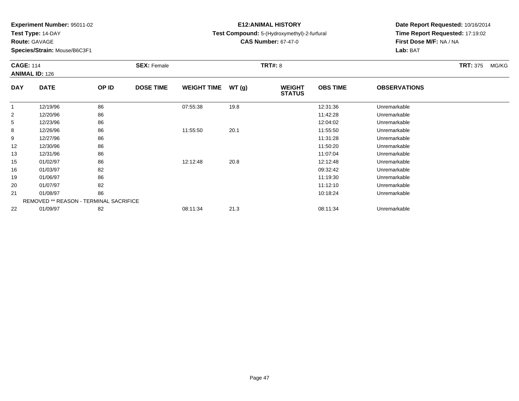**Test Type:** 14-DAY

**Route:** GAVAGE

**Species/Strain:** Mouse/B6C3F1

# **E12:ANIMAL HISTORY**

**Test Compound:** 5-(Hydroxymethyl)-2-furfural

**CAS Number:** 67-47-0

|                | <b>CAGE: 114</b><br><b>ANIMAL ID: 126</b> |       | <b>SEX: Female</b> |                    |       | <b>TRT#: 8</b>                 |                 |                     | <b>TRT: 375</b> | MG/KG |
|----------------|-------------------------------------------|-------|--------------------|--------------------|-------|--------------------------------|-----------------|---------------------|-----------------|-------|
| <b>DAY</b>     | <b>DATE</b>                               | OP ID | <b>DOSE TIME</b>   | <b>WEIGHT TIME</b> | WT(g) | <b>WEIGHT</b><br><b>STATUS</b> | <b>OBS TIME</b> | <b>OBSERVATIONS</b> |                 |       |
|                | 12/19/96                                  | 86    |                    | 07:55:38           | 19.8  |                                | 12:31:36        | Unremarkable        |                 |       |
| $\overline{2}$ | 12/20/96                                  | 86    |                    |                    |       |                                | 11:42:28        | Unremarkable        |                 |       |
| 5              | 12/23/96                                  | 86    |                    |                    |       |                                | 12:04:02        | Unremarkable        |                 |       |
| 8              | 12/26/96                                  | 86    |                    | 11:55:50           | 20.1  |                                | 11:55:50        | Unremarkable        |                 |       |
| 9              | 12/27/96                                  | 86    |                    |                    |       |                                | 11:31:28        | Unremarkable        |                 |       |
| 12             | 12/30/96                                  | 86    |                    |                    |       |                                | 11:50:20        | Unremarkable        |                 |       |
| 13             | 12/31/96                                  | 86    |                    |                    |       |                                | 11:07:04        | Unremarkable        |                 |       |
| 15             | 01/02/97                                  | 86    |                    | 12:12:48           | 20.8  |                                | 12:12:48        | Unremarkable        |                 |       |
| 16             | 01/03/97                                  | 82    |                    |                    |       |                                | 09:32:42        | Unremarkable        |                 |       |
| 19             | 01/06/97                                  | 86    |                    |                    |       |                                | 11:19:30        | Unremarkable        |                 |       |
| 20             | 01/07/97                                  | 82    |                    |                    |       |                                | 11:12:10        | Unremarkable        |                 |       |
| 21             | 01/08/97                                  | 86    |                    |                    |       |                                | 10:18:24        | Unremarkable        |                 |       |
|                | REMOVED ** REASON - TERMINAL SACRIFICE    |       |                    |                    |       |                                |                 |                     |                 |       |
| 22             | 01/09/97                                  | 82    |                    | 08:11:34           | 21.3  |                                | 08:11:34        | Unremarkable        |                 |       |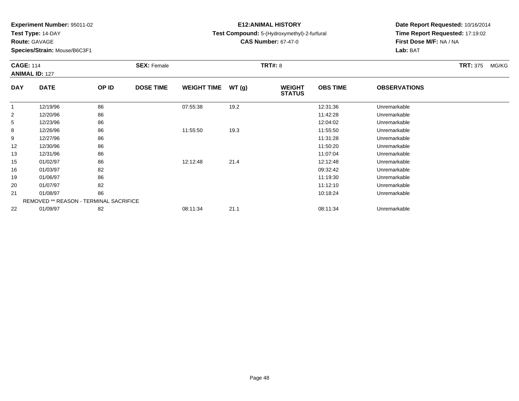**Test Type:** 14-DAY

**Route:** GAVAGE

**Species/Strain:** Mouse/B6C3F1

# **E12:ANIMAL HISTORY**

**Test Compound:** 5-(Hydroxymethyl)-2-furfural

**CAS Number:** 67-47-0

| <b>CAGE: 114</b> | <b>ANIMAL ID: 127</b>                         |       | <b>SEX: Female</b> |                    |       | <b>TRT#: 8</b>                 |                 |                     | <b>TRT: 375</b> | MG/KG |
|------------------|-----------------------------------------------|-------|--------------------|--------------------|-------|--------------------------------|-----------------|---------------------|-----------------|-------|
| <b>DAY</b>       | <b>DATE</b>                                   | OP ID | <b>DOSE TIME</b>   | <b>WEIGHT TIME</b> | WT(g) | <b>WEIGHT</b><br><b>STATUS</b> | <b>OBS TIME</b> | <b>OBSERVATIONS</b> |                 |       |
| $\overline{1}$   | 12/19/96                                      | 86    |                    | 07:55:38           | 19.2  |                                | 12:31:36        | Unremarkable        |                 |       |
| 2                | 12/20/96                                      | 86    |                    |                    |       |                                | 11:42:28        | Unremarkable        |                 |       |
| 5                | 12/23/96                                      | 86    |                    |                    |       |                                | 12:04:02        | Unremarkable        |                 |       |
| 8                | 12/26/96                                      | 86    |                    | 11:55:50           | 19.3  |                                | 11:55:50        | Unremarkable        |                 |       |
| 9                | 12/27/96                                      | 86    |                    |                    |       |                                | 11:31:28        | Unremarkable        |                 |       |
| 12               | 12/30/96                                      | 86    |                    |                    |       |                                | 11:50:20        | Unremarkable        |                 |       |
| 13               | 12/31/96                                      | 86    |                    |                    |       |                                | 11:07:04        | Unremarkable        |                 |       |
| 15               | 01/02/97                                      | 86    |                    | 12:12:48           | 21.4  |                                | 12:12:48        | Unremarkable        |                 |       |
| 16               | 01/03/97                                      | 82    |                    |                    |       |                                | 09:32:42        | Unremarkable        |                 |       |
| 19               | 01/06/97                                      | 86    |                    |                    |       |                                | 11:19:30        | Unremarkable        |                 |       |
| 20               | 01/07/97                                      | 82    |                    |                    |       |                                | 11:12:10        | Unremarkable        |                 |       |
| 21               | 01/08/97                                      | 86    |                    |                    |       |                                | 10:18:24        | Unremarkable        |                 |       |
|                  | <b>REMOVED ** REASON - TERMINAL SACRIFICE</b> |       |                    |                    |       |                                |                 |                     |                 |       |
| 22               | 01/09/97                                      | 82    |                    | 08:11:34           | 21.1  |                                | 08:11:34        | Unremarkable        |                 |       |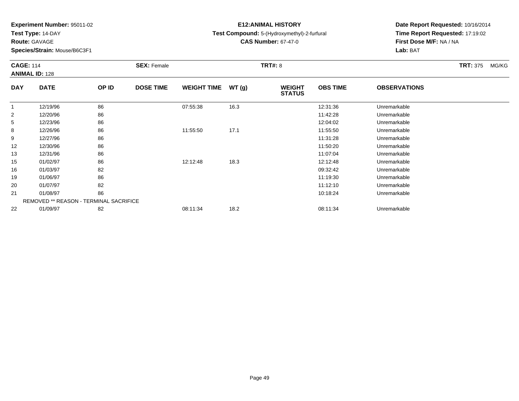**Test Type:** 14-DAY

**Route:** GAVAGE

**Species/Strain:** Mouse/B6C3F1

# **E12:ANIMAL HISTORY**

**Test Compound:** 5-(Hydroxymethyl)-2-furfural

**CAS Number:** 67-47-0

|                | <b>CAGE: 114</b><br><b>ANIMAL ID: 128</b> |       | <b>SEX: Female</b> |                    |       | <b>TRT#: 8</b>                 |                 |                     | <b>TRT: 375</b> | MG/KG |
|----------------|-------------------------------------------|-------|--------------------|--------------------|-------|--------------------------------|-----------------|---------------------|-----------------|-------|
| <b>DAY</b>     | <b>DATE</b>                               | OP ID | <b>DOSE TIME</b>   | <b>WEIGHT TIME</b> | WT(g) | <b>WEIGHT</b><br><b>STATUS</b> | <b>OBS TIME</b> | <b>OBSERVATIONS</b> |                 |       |
|                | 12/19/96                                  | 86    |                    | 07:55:38           | 16.3  |                                | 12:31:36        | Unremarkable        |                 |       |
| $\overline{2}$ | 12/20/96                                  | 86    |                    |                    |       |                                | 11:42:28        | Unremarkable        |                 |       |
| 5              | 12/23/96                                  | 86    |                    |                    |       |                                | 12:04:02        | Unremarkable        |                 |       |
| 8              | 12/26/96                                  | 86    |                    | 11:55:50           | 17.1  |                                | 11:55:50        | Unremarkable        |                 |       |
| 9              | 12/27/96                                  | 86    |                    |                    |       |                                | 11:31:28        | Unremarkable        |                 |       |
| 12             | 12/30/96                                  | 86    |                    |                    |       |                                | 11:50:20        | Unremarkable        |                 |       |
| 13             | 12/31/96                                  | 86    |                    |                    |       |                                | 11:07:04        | Unremarkable        |                 |       |
| 15             | 01/02/97                                  | 86    |                    | 12:12:48           | 18.3  |                                | 12:12:48        | Unremarkable        |                 |       |
| 16             | 01/03/97                                  | 82    |                    |                    |       |                                | 09:32:42        | Unremarkable        |                 |       |
| 19             | 01/06/97                                  | 86    |                    |                    |       |                                | 11:19:30        | Unremarkable        |                 |       |
| 20             | 01/07/97                                  | 82    |                    |                    |       |                                | 11:12:10        | Unremarkable        |                 |       |
| 21             | 01/08/97                                  | 86    |                    |                    |       |                                | 10:18:24        | Unremarkable        |                 |       |
|                | REMOVED ** REASON - TERMINAL SACRIFICE    |       |                    |                    |       |                                |                 |                     |                 |       |
| 22             | 01/09/97                                  | 82    |                    | 08:11:34           | 18.2  |                                | 08:11:34        | Unremarkable        |                 |       |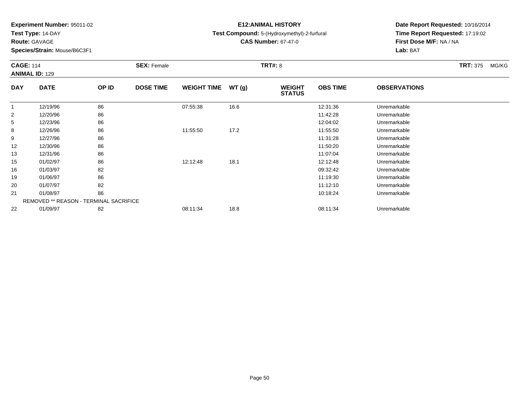**Test Type:** 14-DAY

**Route:** GAVAGE

**Species/Strain:** Mouse/B6C3F1

# **E12:ANIMAL HISTORY**

**Test Compound:** 5-(Hydroxymethyl)-2-furfural

**CAS Number:** 67-47-0

|                | <b>CAGE: 114</b><br><b>ANIMAL ID: 129</b> |       | <b>SEX: Female</b> |                    |       | <b>TRT#: 8</b>                 |                 | <b>TRT: 375</b>     | MG/KG |  |
|----------------|-------------------------------------------|-------|--------------------|--------------------|-------|--------------------------------|-----------------|---------------------|-------|--|
| <b>DAY</b>     | <b>DATE</b>                               | OP ID | <b>DOSE TIME</b>   | <b>WEIGHT TIME</b> | WT(g) | <b>WEIGHT</b><br><b>STATUS</b> | <b>OBS TIME</b> | <b>OBSERVATIONS</b> |       |  |
| $\overline{1}$ | 12/19/96                                  | 86    |                    | 07:55:38           | 16.6  |                                | 12:31:36        | Unremarkable        |       |  |
| $\overline{2}$ | 12/20/96                                  | 86    |                    |                    |       |                                | 11:42:28        | Unremarkable        |       |  |
| 5              | 12/23/96                                  | 86    |                    |                    |       |                                | 12:04:02        | Unremarkable        |       |  |
| 8              | 12/26/96                                  | 86    |                    | 11:55:50           | 17.2  |                                | 11:55:50        | Unremarkable        |       |  |
| 9              | 12/27/96                                  | 86    |                    |                    |       |                                | 11:31:28        | Unremarkable        |       |  |
| 12             | 12/30/96                                  | 86    |                    |                    |       |                                | 11:50:20        | Unremarkable        |       |  |
| 13             | 12/31/96                                  | 86    |                    |                    |       |                                | 11:07:04        | Unremarkable        |       |  |
| 15             | 01/02/97                                  | 86    |                    | 12:12:48           | 18.1  |                                | 12:12:48        | Unremarkable        |       |  |
| 16             | 01/03/97                                  | 82    |                    |                    |       |                                | 09:32:42        | Unremarkable        |       |  |
| 19             | 01/06/97                                  | 86    |                    |                    |       |                                | 11:19:30        | Unremarkable        |       |  |
| 20             | 01/07/97                                  | 82    |                    |                    |       |                                | 11:12:10        | Unremarkable        |       |  |
| 21             | 01/08/97                                  | 86    |                    |                    |       |                                | 10:18:24        | Unremarkable        |       |  |
|                | REMOVED ** REASON - TERMINAL SACRIFICE    |       |                    |                    |       |                                |                 |                     |       |  |
| 22             | 01/09/97                                  | 82    |                    | 08:11:34           | 18.8  |                                | 08:11:34        | Unremarkable        |       |  |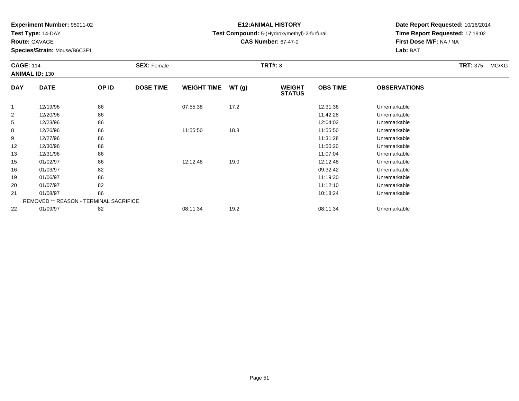**Test Type:** 14-DAY

**Route:** GAVAGE

**Species/Strain:** Mouse/B6C3F1

# **E12:ANIMAL HISTORY**

**Test Compound:** 5-(Hydroxymethyl)-2-furfural

**CAS Number:** 67-47-0

| <b>CAGE: 114</b> | <b>ANIMAL ID: 130</b>                         |       | <b>SEX: Female</b> |                    |       | <b>TRT#: 8</b>                 |                 |                     | <b>TRT: 375</b> | MG/KG |
|------------------|-----------------------------------------------|-------|--------------------|--------------------|-------|--------------------------------|-----------------|---------------------|-----------------|-------|
| <b>DAY</b>       | <b>DATE</b>                                   | OP ID | <b>DOSE TIME</b>   | <b>WEIGHT TIME</b> | WT(g) | <b>WEIGHT</b><br><b>STATUS</b> | <b>OBS TIME</b> | <b>OBSERVATIONS</b> |                 |       |
| $\mathbf 1$      | 12/19/96                                      | 86    |                    | 07:55:38           | 17.2  |                                | 12:31:36        | Unremarkable        |                 |       |
| $\overline{2}$   | 12/20/96                                      | 86    |                    |                    |       |                                | 11:42:28        | Unremarkable        |                 |       |
| 5                | 12/23/96                                      | 86    |                    |                    |       |                                | 12:04:02        | Unremarkable        |                 |       |
| 8                | 12/26/96                                      | 86    |                    | 11:55:50           | 18.8  |                                | 11:55:50        | Unremarkable        |                 |       |
| 9                | 12/27/96                                      | 86    |                    |                    |       |                                | 11:31:28        | Unremarkable        |                 |       |
| 12               | 12/30/96                                      | 86    |                    |                    |       |                                | 11:50:20        | Unremarkable        |                 |       |
| 13               | 12/31/96                                      | 86    |                    |                    |       |                                | 11:07:04        | Unremarkable        |                 |       |
| 15               | 01/02/97                                      | 86    |                    | 12:12:48           | 19.0  |                                | 12:12:48        | Unremarkable        |                 |       |
| 16               | 01/03/97                                      | 82    |                    |                    |       |                                | 09:32:42        | Unremarkable        |                 |       |
| 19               | 01/06/97                                      | 86    |                    |                    |       |                                | 11:19:30        | Unremarkable        |                 |       |
| 20               | 01/07/97                                      | 82    |                    |                    |       |                                | 11:12:10        | Unremarkable        |                 |       |
| 21               | 01/08/97                                      | 86    |                    |                    |       |                                | 10:18:24        | Unremarkable        |                 |       |
|                  | <b>REMOVED ** REASON - TERMINAL SACRIFICE</b> |       |                    |                    |       |                                |                 |                     |                 |       |
| 22               | 01/09/97                                      | 82    |                    | 08:11:34           | 19.2  |                                | 08:11:34        | Unremarkable        |                 |       |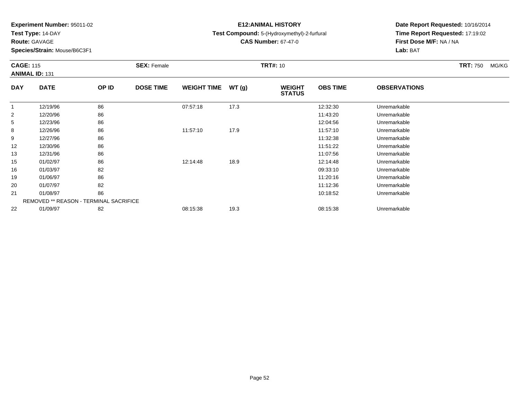**Test Type:** 14-DAY

**Route:** GAVAGE

**Species/Strain:** Mouse/B6C3F1

# **E12:ANIMAL HISTORY**

**Test Compound:** 5-(Hydroxymethyl)-2-furfural

**CAS Number:** 67-47-0

|                | <b>CAGE: 115</b><br><b>ANIMAL ID: 131</b>     |       | <b>SEX: Female</b> |                    |       | <b>TRT#: 10</b>                |                 |                     | <b>TRT: 750</b> | MG/KG |
|----------------|-----------------------------------------------|-------|--------------------|--------------------|-------|--------------------------------|-----------------|---------------------|-----------------|-------|
| <b>DAY</b>     | <b>DATE</b>                                   | OP ID | <b>DOSE TIME</b>   | <b>WEIGHT TIME</b> | WT(g) | <b>WEIGHT</b><br><b>STATUS</b> | <b>OBS TIME</b> | <b>OBSERVATIONS</b> |                 |       |
|                | 12/19/96                                      | 86    |                    | 07:57:18           | 17.3  |                                | 12:32:30        | Unremarkable        |                 |       |
| $\overline{2}$ | 12/20/96                                      | 86    |                    |                    |       |                                | 11:43:20        | Unremarkable        |                 |       |
| 5              | 12/23/96                                      | 86    |                    |                    |       |                                | 12:04:56        | Unremarkable        |                 |       |
| 8              | 12/26/96                                      | 86    |                    | 11:57:10           | 17.9  |                                | 11:57:10        | Unremarkable        |                 |       |
| 9              | 12/27/96                                      | 86    |                    |                    |       |                                | 11:32:38        | Unremarkable        |                 |       |
| 12             | 12/30/96                                      | 86    |                    |                    |       |                                | 11:51:22        | Unremarkable        |                 |       |
| 13             | 12/31/96                                      | 86    |                    |                    |       |                                | 11:07:56        | Unremarkable        |                 |       |
| 15             | 01/02/97                                      | 86    |                    | 12:14:48           | 18.9  |                                | 12:14:48        | Unremarkable        |                 |       |
| 16             | 01/03/97                                      | 82    |                    |                    |       |                                | 09:33:10        | Unremarkable        |                 |       |
| 19             | 01/06/97                                      | 86    |                    |                    |       |                                | 11:20:16        | Unremarkable        |                 |       |
| 20             | 01/07/97                                      | 82    |                    |                    |       |                                | 11:12:36        | Unremarkable        |                 |       |
| 21             | 01/08/97                                      | 86    |                    |                    |       |                                | 10:18:52        | Unremarkable        |                 |       |
|                | <b>REMOVED ** REASON - TERMINAL SACRIFICE</b> |       |                    |                    |       |                                |                 |                     |                 |       |
| 22             | 01/09/97                                      | 82    |                    | 08:15:38           | 19.3  |                                | 08:15:38        | Unremarkable        |                 |       |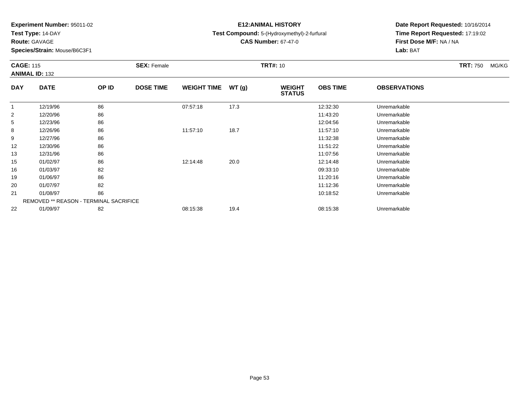**Test Type:** 14-DAY

**Route:** GAVAGE

**Species/Strain:** Mouse/B6C3F1

# **E12:ANIMAL HISTORY**

**Test Compound:** 5-(Hydroxymethyl)-2-furfural

**CAS Number:** 67-47-0

| <b>CAGE: 115</b> | <b>ANIMAL ID: 132</b> |                                               | <b>SEX: Female</b> |                    |       | <b>TRT#: 10</b>                |                 |                     | <b>TRT: 750</b> | MG/KG |
|------------------|-----------------------|-----------------------------------------------|--------------------|--------------------|-------|--------------------------------|-----------------|---------------------|-----------------|-------|
| <b>DAY</b>       | <b>DATE</b>           | OP ID                                         | <b>DOSE TIME</b>   | <b>WEIGHT TIME</b> | WT(g) | <b>WEIGHT</b><br><b>STATUS</b> | <b>OBS TIME</b> | <b>OBSERVATIONS</b> |                 |       |
|                  | 12/19/96              | 86                                            |                    | 07:57:18           | 17.3  |                                | 12:32:30        | Unremarkable        |                 |       |
| $\overline{2}$   | 12/20/96              | 86                                            |                    |                    |       |                                | 11:43:20        | Unremarkable        |                 |       |
| 5                | 12/23/96              | 86                                            |                    |                    |       |                                | 12:04:56        | Unremarkable        |                 |       |
| 8                | 12/26/96              | 86                                            |                    | 11:57:10           | 18.7  |                                | 11:57:10        | Unremarkable        |                 |       |
| 9                | 12/27/96              | 86                                            |                    |                    |       |                                | 11:32:38        | Unremarkable        |                 |       |
| 12               | 12/30/96              | 86                                            |                    |                    |       |                                | 11:51:22        | Unremarkable        |                 |       |
| 13               | 12/31/96              | 86                                            |                    |                    |       |                                | 11:07:56        | Unremarkable        |                 |       |
| 15               | 01/02/97              | 86                                            |                    | 12:14:48           | 20.0  |                                | 12:14:48        | Unremarkable        |                 |       |
| 16               | 01/03/97              | 82                                            |                    |                    |       |                                | 09:33:10        | Unremarkable        |                 |       |
| 19               | 01/06/97              | 86                                            |                    |                    |       |                                | 11:20:16        | Unremarkable        |                 |       |
| 20               | 01/07/97              | 82                                            |                    |                    |       |                                | 11:12:36        | Unremarkable        |                 |       |
| 21               | 01/08/97              | 86                                            |                    |                    |       |                                | 10:18:52        | Unremarkable        |                 |       |
|                  |                       | <b>REMOVED ** REASON - TERMINAL SACRIFICE</b> |                    |                    |       |                                |                 |                     |                 |       |
| 22               | 01/09/97              | 82                                            |                    | 08:15:38           | 19.4  |                                | 08:15:38        | Unremarkable        |                 |       |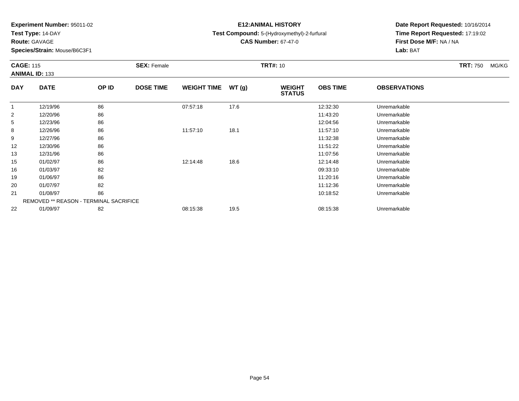**Test Type:** 14-DAY

**Route:** GAVAGE

**Species/Strain:** Mouse/B6C3F1

# **E12:ANIMAL HISTORY**

**Test Compound:** 5-(Hydroxymethyl)-2-furfural

**CAS Number:** 67-47-0

| <b>CAGE: 115</b> | <b>ANIMAL ID: 133</b> |                                        | <b>SEX: Female</b> |                    |       | <b>TRT#: 10</b>                |                 |                     | <b>TRT: 750</b> | MG/KG |
|------------------|-----------------------|----------------------------------------|--------------------|--------------------|-------|--------------------------------|-----------------|---------------------|-----------------|-------|
| <b>DAY</b>       | <b>DATE</b>           | OP ID                                  | <b>DOSE TIME</b>   | <b>WEIGHT TIME</b> | WT(g) | <b>WEIGHT</b><br><b>STATUS</b> | <b>OBS TIME</b> | <b>OBSERVATIONS</b> |                 |       |
|                  | 12/19/96              | 86                                     |                    | 07:57:18           | 17.6  |                                | 12:32:30        | Unremarkable        |                 |       |
| $\overline{2}$   | 12/20/96              | 86                                     |                    |                    |       |                                | 11:43:20        | Unremarkable        |                 |       |
| 5                | 12/23/96              | 86                                     |                    |                    |       |                                | 12:04:56        | Unremarkable        |                 |       |
| 8                | 12/26/96              | 86                                     |                    | 11:57:10           | 18.1  |                                | 11:57:10        | Unremarkable        |                 |       |
| 9                | 12/27/96              | 86                                     |                    |                    |       |                                | 11:32:38        | Unremarkable        |                 |       |
| 12               | 12/30/96              | 86                                     |                    |                    |       |                                | 11:51:22        | Unremarkable        |                 |       |
| 13               | 12/31/96              | 86                                     |                    |                    |       |                                | 11:07:56        | Unremarkable        |                 |       |
| 15               | 01/02/97              | 86                                     |                    | 12:14:48           | 18.6  |                                | 12:14:48        | Unremarkable        |                 |       |
| 16               | 01/03/97              | 82                                     |                    |                    |       |                                | 09:33:10        | Unremarkable        |                 |       |
| 19               | 01/06/97              | 86                                     |                    |                    |       |                                | 11:20:16        | Unremarkable        |                 |       |
| 20               | 01/07/97              | 82                                     |                    |                    |       |                                | 11:12:36        | Unremarkable        |                 |       |
| 21               | 01/08/97              | 86                                     |                    |                    |       |                                | 10:18:52        | Unremarkable        |                 |       |
|                  |                       | REMOVED ** REASON - TERMINAL SACRIFICE |                    |                    |       |                                |                 |                     |                 |       |
| 22               | 01/09/97              | 82                                     |                    | 08:15:38           | 19.5  |                                | 08:15:38        | Unremarkable        |                 |       |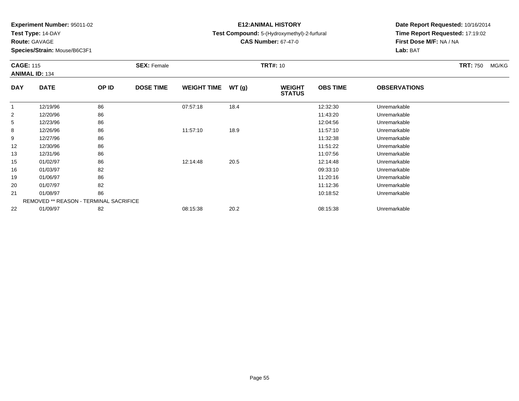**Test Type:** 14-DAY

**Route:** GAVAGE

**Species/Strain:** Mouse/B6C3F1

# **E12:ANIMAL HISTORY**

**Test Compound:** 5-(Hydroxymethyl)-2-furfural

**CAS Number:** 67-47-0

| <b>CAGE: 115</b> | <b>ANIMAL ID: 134</b> |                                               | <b>SEX: Female</b> |                    |       | <b>TRT#: 10</b>                |                 |                     | <b>TRT: 750</b> | MG/KG |
|------------------|-----------------------|-----------------------------------------------|--------------------|--------------------|-------|--------------------------------|-----------------|---------------------|-----------------|-------|
| <b>DAY</b>       | <b>DATE</b>           | OP ID                                         | <b>DOSE TIME</b>   | <b>WEIGHT TIME</b> | WT(g) | <b>WEIGHT</b><br><b>STATUS</b> | <b>OBS TIME</b> | <b>OBSERVATIONS</b> |                 |       |
|                  | 12/19/96              | 86                                            |                    | 07:57:18           | 18.4  |                                | 12:32:30        | Unremarkable        |                 |       |
| $\overline{2}$   | 12/20/96              | 86                                            |                    |                    |       |                                | 11:43:20        | Unremarkable        |                 |       |
| 5                | 12/23/96              | 86                                            |                    |                    |       |                                | 12:04:56        | Unremarkable        |                 |       |
| 8                | 12/26/96              | 86                                            |                    | 11:57:10           | 18.9  |                                | 11:57:10        | Unremarkable        |                 |       |
| 9                | 12/27/96              | 86                                            |                    |                    |       |                                | 11:32:38        | Unremarkable        |                 |       |
| 12               | 12/30/96              | 86                                            |                    |                    |       |                                | 11:51:22        | Unremarkable        |                 |       |
| 13               | 12/31/96              | 86                                            |                    |                    |       |                                | 11:07:56        | Unremarkable        |                 |       |
| 15               | 01/02/97              | 86                                            |                    | 12:14:48           | 20.5  |                                | 12:14:48        | Unremarkable        |                 |       |
| 16               | 01/03/97              | 82                                            |                    |                    |       |                                | 09:33:10        | Unremarkable        |                 |       |
| 19               | 01/06/97              | 86                                            |                    |                    |       |                                | 11:20:16        | Unremarkable        |                 |       |
| 20               | 01/07/97              | 82                                            |                    |                    |       |                                | 11:12:36        | Unremarkable        |                 |       |
| 21               | 01/08/97              | 86                                            |                    |                    |       |                                | 10:18:52        | Unremarkable        |                 |       |
|                  |                       | <b>REMOVED ** REASON - TERMINAL SACRIFICE</b> |                    |                    |       |                                |                 |                     |                 |       |
| 22               | 01/09/97              | 82                                            |                    | 08:15:38           | 20.2  |                                | 08:15:38        | Unremarkable        |                 |       |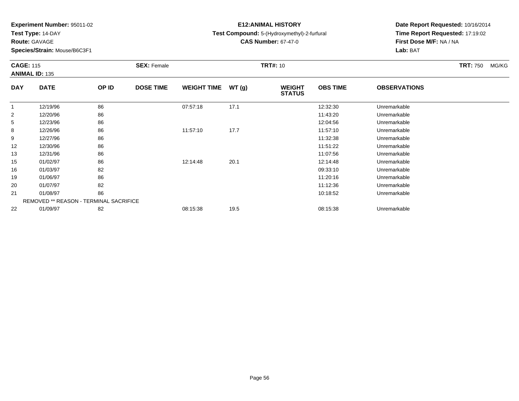**Test Type:** 14-DAY

**Route:** GAVAGE

**Species/Strain:** Mouse/B6C3F1

# **E12:ANIMAL HISTORY**

**Test Compound:** 5-(Hydroxymethyl)-2-furfural

**CAS Number:** 67-47-0

| <b>CAGE: 115</b> | <b>ANIMAL ID: 135</b> |                                               | <b>SEX: Female</b> |                    |       | <b>TRT#: 10</b>                |                 |                     | <b>TRT: 750</b> | MG/KG |
|------------------|-----------------------|-----------------------------------------------|--------------------|--------------------|-------|--------------------------------|-----------------|---------------------|-----------------|-------|
| <b>DAY</b>       | <b>DATE</b>           | OP ID                                         | <b>DOSE TIME</b>   | <b>WEIGHT TIME</b> | WT(g) | <b>WEIGHT</b><br><b>STATUS</b> | <b>OBS TIME</b> | <b>OBSERVATIONS</b> |                 |       |
|                  | 12/19/96              | 86                                            |                    | 07:57:18           | 17.1  |                                | 12:32:30        | Unremarkable        |                 |       |
| $\overline{2}$   | 12/20/96              | 86                                            |                    |                    |       |                                | 11:43:20        | Unremarkable        |                 |       |
| 5                | 12/23/96              | 86                                            |                    |                    |       |                                | 12:04:56        | Unremarkable        |                 |       |
| 8                | 12/26/96              | 86                                            |                    | 11:57:10           | 17.7  |                                | 11:57:10        | Unremarkable        |                 |       |
| 9                | 12/27/96              | 86                                            |                    |                    |       |                                | 11:32:38        | Unremarkable        |                 |       |
| 12               | 12/30/96              | 86                                            |                    |                    |       |                                | 11:51:22        | Unremarkable        |                 |       |
| 13               | 12/31/96              | 86                                            |                    |                    |       |                                | 11:07:56        | Unremarkable        |                 |       |
| 15               | 01/02/97              | 86                                            |                    | 12:14:48           | 20.1  |                                | 12:14:48        | Unremarkable        |                 |       |
| 16               | 01/03/97              | 82                                            |                    |                    |       |                                | 09:33:10        | Unremarkable        |                 |       |
| 19               | 01/06/97              | 86                                            |                    |                    |       |                                | 11:20:16        | Unremarkable        |                 |       |
| 20               | 01/07/97              | 82                                            |                    |                    |       |                                | 11:12:36        | Unremarkable        |                 |       |
| 21               | 01/08/97              | 86                                            |                    |                    |       |                                | 10:18:52        | Unremarkable        |                 |       |
|                  |                       | <b>REMOVED ** REASON - TERMINAL SACRIFICE</b> |                    |                    |       |                                |                 |                     |                 |       |
| 22               | 01/09/97              | 82                                            |                    | 08:15:38           | 19.5  |                                | 08:15:38        | Unremarkable        |                 |       |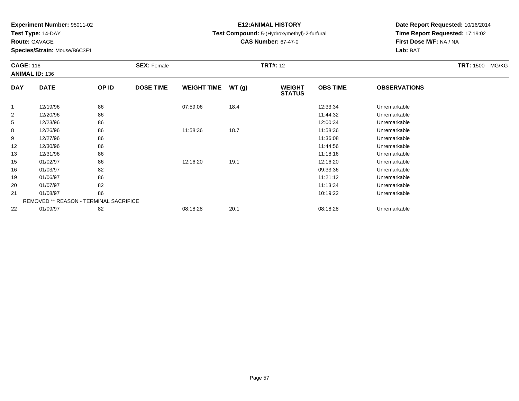**Test Type:** 14-DAY

**Route:** GAVAGE

**Species/Strain:** Mouse/B6C3F1

# **E12:ANIMAL HISTORY**

**Test Compound:** 5-(Hydroxymethyl)-2-furfural

**CAS Number:** 67-47-0

|                | <b>CAGE: 116</b><br><b>ANIMAL ID: 136</b>     |       | <b>SEX: Female</b> |                    |       | <b>TRT#: 12</b>                |                 |                     | <b>TRT: 1500</b><br>MG/KG |
|----------------|-----------------------------------------------|-------|--------------------|--------------------|-------|--------------------------------|-----------------|---------------------|---------------------------|
| <b>DAY</b>     | <b>DATE</b>                                   | OP ID | <b>DOSE TIME</b>   | <b>WEIGHT TIME</b> | WT(g) | <b>WEIGHT</b><br><b>STATUS</b> | <b>OBS TIME</b> | <b>OBSERVATIONS</b> |                           |
| $\mathbf 1$    | 12/19/96                                      | 86    |                    | 07:59:06           | 18.4  |                                | 12:33:34        | Unremarkable        |                           |
| $\overline{2}$ | 12/20/96                                      | 86    |                    |                    |       |                                | 11:44:32        | Unremarkable        |                           |
| 5              | 12/23/96                                      | 86    |                    |                    |       |                                | 12:00:34        | Unremarkable        |                           |
| 8              | 12/26/96                                      | 86    |                    | 11:58:36           | 18.7  |                                | 11:58:36        | Unremarkable        |                           |
| 9              | 12/27/96                                      | 86    |                    |                    |       |                                | 11:36:08        | Unremarkable        |                           |
| 12             | 12/30/96                                      | 86    |                    |                    |       |                                | 11:44:56        | Unremarkable        |                           |
| 13             | 12/31/96                                      | 86    |                    |                    |       |                                | 11:18:16        | Unremarkable        |                           |
| 15             | 01/02/97                                      | 86    |                    | 12:16:20           | 19.1  |                                | 12:16:20        | Unremarkable        |                           |
| 16             | 01/03/97                                      | 82    |                    |                    |       |                                | 09:33:36        | Unremarkable        |                           |
| 19             | 01/06/97                                      | 86    |                    |                    |       |                                | 11:21:12        | Unremarkable        |                           |
| 20             | 01/07/97                                      | 82    |                    |                    |       |                                | 11:13:34        | Unremarkable        |                           |
| 21             | 01/08/97                                      | 86    |                    |                    |       |                                | 10:19:22        | Unremarkable        |                           |
|                | <b>REMOVED ** REASON - TERMINAL SACRIFICE</b> |       |                    |                    |       |                                |                 |                     |                           |
| 22             | 01/09/97                                      | 82    |                    | 08:18:28           | 20.1  |                                | 08:18:28        | Unremarkable        |                           |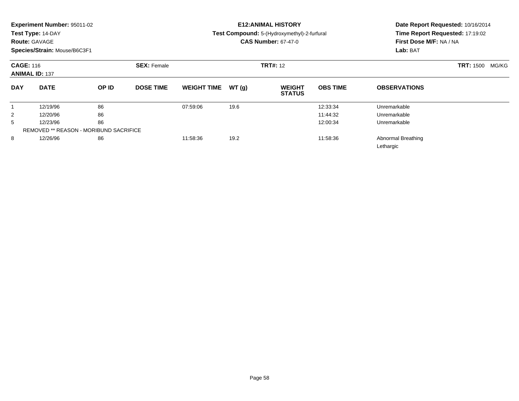|                | Experiment Number: 95011-02<br>Test Type: 14-DAY<br><b>Route: GAVAGE</b><br>Species/Strain: Mouse/B6C3F1 |       |                  |                    |       | <b>E12: ANIMAL HISTORY</b><br>Test Compound: 5-(Hydroxymethyl)-2-furfural<br><b>CAS Number: 67-47-0</b> | First Dose M/F: NA / NA<br>Lab: BAT | Date Report Requested: 10/16/2014<br>Time Report Requested: 17:19:02 |  |
|----------------|----------------------------------------------------------------------------------------------------------|-------|------------------|--------------------|-------|---------------------------------------------------------------------------------------------------------|-------------------------------------|----------------------------------------------------------------------|--|
|                | <b>CAGE: 116</b><br><b>SEX: Female</b><br><b>ANIMAL ID: 137</b>                                          |       |                  |                    |       | <b>TRT#:</b> 12                                                                                         | <b>TRT: 1500</b>                    |                                                                      |  |
| <b>DAY</b>     | <b>DATE</b>                                                                                              | OP ID | <b>DOSE TIME</b> | <b>WEIGHT TIME</b> | WT(q) | <b>WEIGHT</b><br><b>STATUS</b>                                                                          | <b>OBS TIME</b>                     | <b>OBSERVATIONS</b>                                                  |  |
|                | 12/19/96                                                                                                 | 86    |                  | 07:59:06           | 19.6  |                                                                                                         | 12:33:34                            | Unremarkable                                                         |  |
| $\overline{2}$ | 12/20/96                                                                                                 | 86    |                  |                    |       |                                                                                                         | 11:44:32                            | Unremarkable                                                         |  |
| 5              | 12/23/96                                                                                                 | 86    |                  |                    |       |                                                                                                         | 12:00:34                            | Unremarkable                                                         |  |
|                | <b>REMOVED ** REASON - MORIBUND SACRIFICE</b>                                                            |       |                  |                    |       |                                                                                                         |                                     |                                                                      |  |
| 8              | 12/26/96                                                                                                 | 86    |                  | 11:58:36           | 19.2  |                                                                                                         | 11:58:36                            | <b>Abnormal Breathing</b><br>Lethargic                               |  |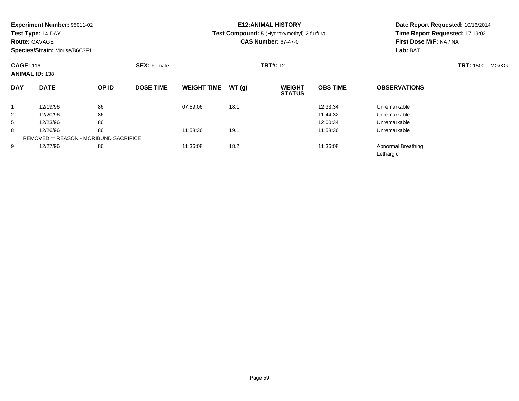| Experiment Number: 95011-02 |  |  |
|-----------------------------|--|--|
|-----------------------------|--|--|

**Test Type:** 14-DAY

### **Route:** GAVAGE

**Species/Strain:** Mouse/B6C3F1

# **E12:ANIMAL HISTORY**

**Test Compound:** 5-(Hydroxymethyl)-2-furfural

**CAS Number:** 67-47-0

| <b>CAGE: 116</b><br><b>ANIMAL ID: 138</b> |             | <b>SEX: Female</b>                            |                  |                    | <b>TRT#: 12</b> |                                |                 | <b>TRT: 1500</b><br>MG/KG       |  |
|-------------------------------------------|-------------|-----------------------------------------------|------------------|--------------------|-----------------|--------------------------------|-----------------|---------------------------------|--|
| <b>DAY</b>                                | <b>DATE</b> | OP ID                                         | <b>DOSE TIME</b> | <b>WEIGHT TIME</b> | WT(g)           | <b>WEIGHT</b><br><b>STATUS</b> | <b>OBS TIME</b> | <b>OBSERVATIONS</b>             |  |
|                                           | 12/19/96    | 86                                            |                  | 07:59:06           | 18.1            |                                | 12:33:34        | Unremarkable                    |  |
| $\overline{2}$                            | 12/20/96    | 86                                            |                  |                    |                 |                                | 11:44:32        | Unremarkable                    |  |
| 5                                         | 12/23/96    | 86                                            |                  |                    |                 |                                | 12:00:34        | Unremarkable                    |  |
| 8                                         | 12/26/96    | 86                                            |                  | 11:58:36           | 19.1            |                                | 11:58:36        | Unremarkable                    |  |
|                                           |             | <b>REMOVED ** REASON - MORIBUND SACRIFICE</b> |                  |                    |                 |                                |                 |                                 |  |
| 9                                         | 12/27/96    | 86                                            |                  | 11:36:08           | 18.2            |                                | 11:36:08        | Abnormal Breathing<br>Lethargic |  |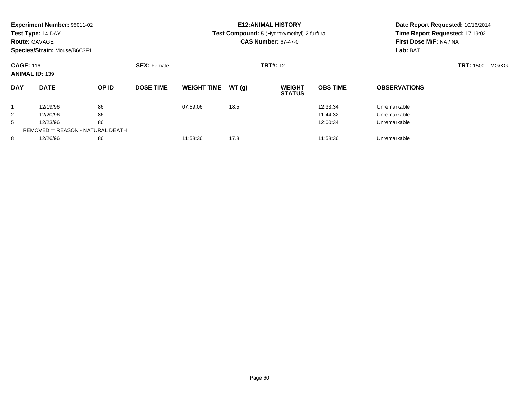| Experiment Number: 95011-02<br>Test Type: 14-DAY<br><b>Route: GAVAGE</b><br>Species/Strain: Mouse/B6C3F1 |             |                                   |                  | <b>E12: ANIMAL HISTORY</b><br>Test Compound: 5-(Hydroxymethyl)-2-furfural<br><b>CAS Number: 67-47-0</b> |                 |                                |                 | Date Report Requested: 10/16/2014<br>Time Report Requested: 17:19:02<br>First Dose M/F: NA / NA<br>Lab: BAT |  |
|----------------------------------------------------------------------------------------------------------|-------------|-----------------------------------|------------------|---------------------------------------------------------------------------------------------------------|-----------------|--------------------------------|-----------------|-------------------------------------------------------------------------------------------------------------|--|
| <b>CAGE: 116</b><br><b>ANIMAL ID: 139</b>                                                                |             | <b>SEX: Female</b>                |                  |                                                                                                         | <b>TRT#:</b> 12 | <b>TRT: 1500 MG/KG</b>         |                 |                                                                                                             |  |
| <b>DAY</b>                                                                                               | <b>DATE</b> | OP ID                             | <b>DOSE TIME</b> | <b>WEIGHT TIME</b>                                                                                      | WT(q)           | <b>WEIGHT</b><br><b>STATUS</b> | <b>OBS TIME</b> | <b>OBSERVATIONS</b>                                                                                         |  |
|                                                                                                          | 12/19/96    | 86                                |                  | 07:59:06                                                                                                | 18.5            |                                | 12:33:34        | Unremarkable                                                                                                |  |
| 2                                                                                                        | 12/20/96    | 86                                |                  |                                                                                                         |                 |                                | 11:44:32        | Unremarkable                                                                                                |  |
| 5                                                                                                        | 12/23/96    | 86                                |                  |                                                                                                         |                 |                                | 12:00:34        | Unremarkable                                                                                                |  |
|                                                                                                          |             | REMOVED ** REASON - NATURAL DEATH |                  |                                                                                                         |                 |                                |                 |                                                                                                             |  |
| 8                                                                                                        | 12/26/96    | 86                                |                  | 11:58:36                                                                                                | 17.8            |                                | 11:58:36        | Unremarkable                                                                                                |  |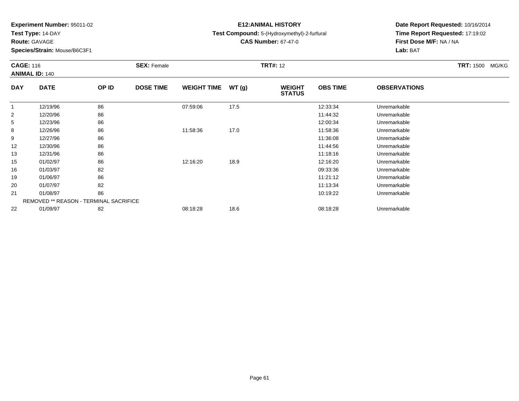**Test Type:** 14-DAY

**Route:** GAVAGE

**Species/Strain:** Mouse/B6C3F1

# **E12:ANIMAL HISTORY**

**Test Compound:** 5-(Hydroxymethyl)-2-furfural

**CAS Number:** 67-47-0

|                | <b>CAGE: 116</b><br><b>ANIMAL ID: 140</b>     |       | <b>SEX: Female</b> |                    |       | <b>TRT#: 12</b>                |                 |                     | <b>TRT: 1500</b><br>MG/KG |
|----------------|-----------------------------------------------|-------|--------------------|--------------------|-------|--------------------------------|-----------------|---------------------|---------------------------|
| <b>DAY</b>     | <b>DATE</b>                                   | OP ID | <b>DOSE TIME</b>   | <b>WEIGHT TIME</b> | WT(g) | <b>WEIGHT</b><br><b>STATUS</b> | <b>OBS TIME</b> | <b>OBSERVATIONS</b> |                           |
| $\mathbf 1$    | 12/19/96                                      | 86    |                    | 07:59:06           | 17.5  |                                | 12:33:34        | Unremarkable        |                           |
| $\overline{2}$ | 12/20/96                                      | 86    |                    |                    |       |                                | 11:44:32        | Unremarkable        |                           |
| 5              | 12/23/96                                      | 86    |                    |                    |       |                                | 12:00:34        | Unremarkable        |                           |
| 8              | 12/26/96                                      | 86    |                    | 11:58:36           | 17.0  |                                | 11:58:36        | Unremarkable        |                           |
| 9              | 12/27/96                                      | 86    |                    |                    |       |                                | 11:36:08        | Unremarkable        |                           |
| 12             | 12/30/96                                      | 86    |                    |                    |       |                                | 11:44:56        | Unremarkable        |                           |
| 13             | 12/31/96                                      | 86    |                    |                    |       |                                | 11:18:16        | Unremarkable        |                           |
| 15             | 01/02/97                                      | 86    |                    | 12:16:20           | 18.9  |                                | 12:16:20        | Unremarkable        |                           |
| 16             | 01/03/97                                      | 82    |                    |                    |       |                                | 09:33:36        | Unremarkable        |                           |
| 19             | 01/06/97                                      | 86    |                    |                    |       |                                | 11:21:12        | Unremarkable        |                           |
| 20             | 01/07/97                                      | 82    |                    |                    |       |                                | 11:13:34        | Unremarkable        |                           |
| 21             | 01/08/97                                      | 86    |                    |                    |       |                                | 10:19:22        | Unremarkable        |                           |
|                | <b>REMOVED ** REASON - TERMINAL SACRIFICE</b> |       |                    |                    |       |                                |                 |                     |                           |
| 22             | 01/09/97                                      | 82    |                    | 08:18:28           | 18.6  |                                | 08:18:28        | Unremarkable        |                           |